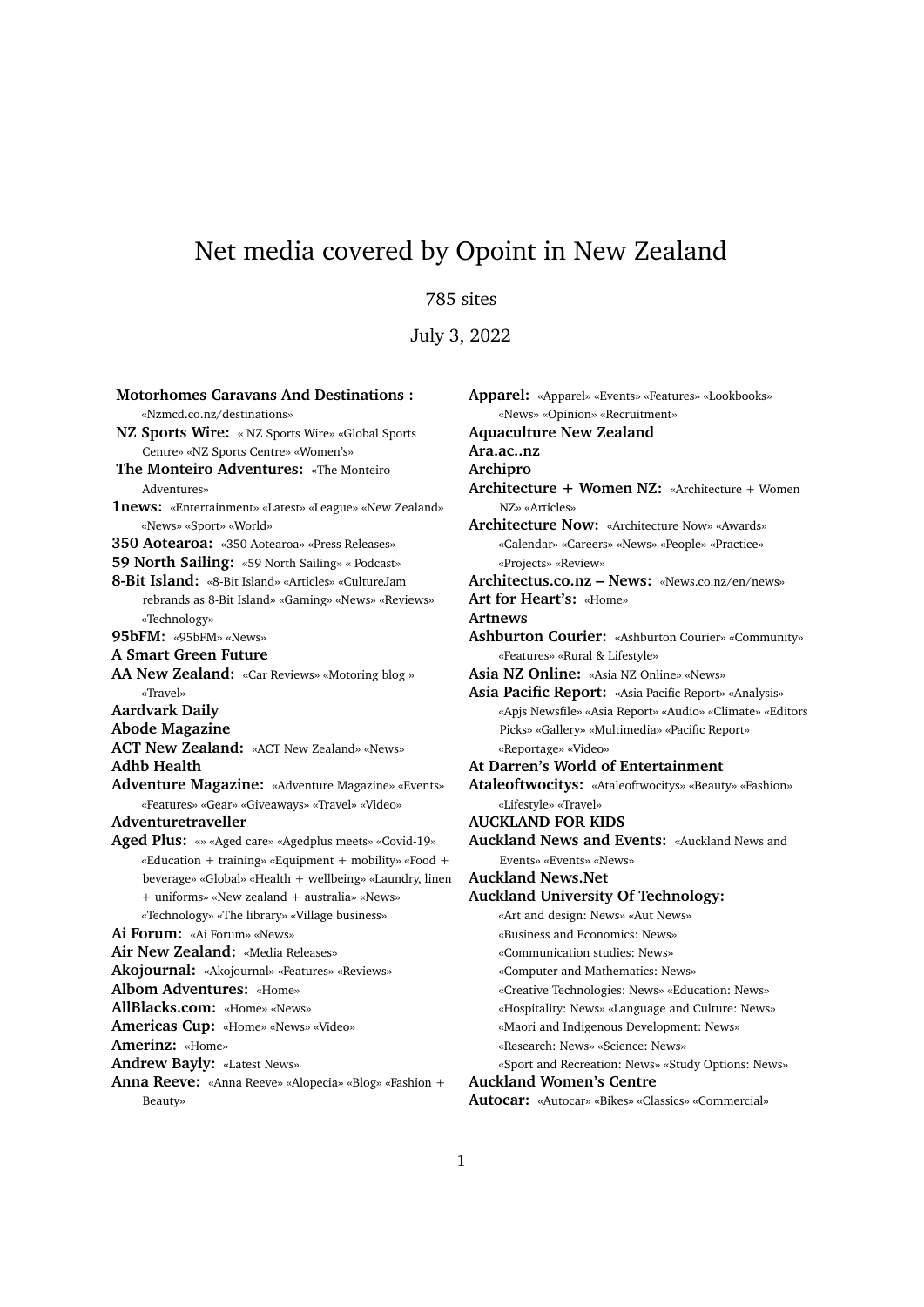# Net media covered by Opoint in New Zealand

# 785 sites

July 3, 2022

**Motorhomes Caravans And Destinations :** «Nzmcd.co.nz/destinations» **NZ Sports Wire:** « NZ Sports Wire» «Global Sports Centre» «NZ Sports Centre» «Women's» **The Monteiro Adventures:** «The Monteiro Adventures» **1news:** «Entertainment» «Latest» «League» «New Zealand» «News» «Sport» «World» **350 Aotearoa:** «350 Aotearoa» «Press Releases» **59 North Sailing:** «59 North Sailing» « Podcast» **8-Bit Island:** «8-Bit Island» «Articles» «CultureJam rebrands as 8-Bit Island» «Gaming» «News» «Reviews» «Technology» **95bFM:** «95bFM» «News» **A Smart Green Future AA New Zealand:** «Car Reviews» «Motoring blog » «Travel» **Aardvark Daily Abode Magazine ACT New Zealand:** «ACT New Zealand» «News» **Adhb Health Adventure Magazine:** «Adventure Magazine» «Events» «Features» «Gear» «Giveaways» «Travel» «Video» **Adventuretraveller Aged Plus:** «» «Aged care» «Agedplus meets» «Covid-19» «Education + training» «Equipment + mobility» «Food + beverage» «Global» «Health + wellbeing» «Laundry, linen + uniforms» «New zealand + australia» «News» «Technology» «The library» «Village business» **Ai Forum:** «Ai Forum» «News» **Air New Zealand:** «Media Releases» **Akojournal:** «Akojournal» «Features» «Reviews» **Albom Adventures:** «Home» **AllBlacks.com:** «Home» «News» **Americas Cup:** «Home» «News» «Video» **Amerinz:** «Home» **Andrew Bayly:** «Latest News» **Anna Reeve:** «Anna Reeve» «Alopecia» «Blog» «Fashion + Beauty»

**Apparel:** «Apparel» «Events» «Features» «Lookbooks» «News» «Opinion» «Recruitment» **Aquaculture New Zealand Ara.ac..nz Archipro Architecture + Women NZ:** «Architecture + Women NZ» «Articles» **Architecture Now:** «Architecture Now» «Awards» «Calendar» «Careers» «News» «People» «Practice» «Projects» «Review» **Architectus.co.nz – News:** «News.co.nz/en/news» **Art for Heart's:** «Home» **Artnews Ashburton Courier:** «Ashburton Courier» «Community» «Features» «Rural & Lifestyle» **Asia NZ Online:** «Asia NZ Online» «News» **Asia Pacific Report:** «Asia Pacific Report» «Analysis» «Apjs Newsfile» «Asia Report» «Audio» «Climate» «Editors Picks» «Gallery» «Multimedia» «Pacific Report» «Reportage» «Video» **At Darren's World of Entertainment Ataleoftwocitys:** «Ataleoftwocitys» «Beauty» «Fashion» «Lifestyle» «Travel» **AUCKLAND FOR KIDS Auckland News and Events:** «Auckland News and Events» «Events» «News» **Auckland News.Net Auckland University Of Technology:** «Art and design: News» «Aut News» «Business and Economics: News» «Communication studies: News» «Computer and Mathematics: News» «Creative Technologies: News» «Education: News» «Hospitality: News» «Language and Culture: News» «Maori and Indigenous Development: News» «Research: News» «Science: News» «Sport and Recreation: News» «Study Options: News» **Auckland Women's Centre**

**Autocar:** «Autocar» «Bikes» «Classics» «Commercial»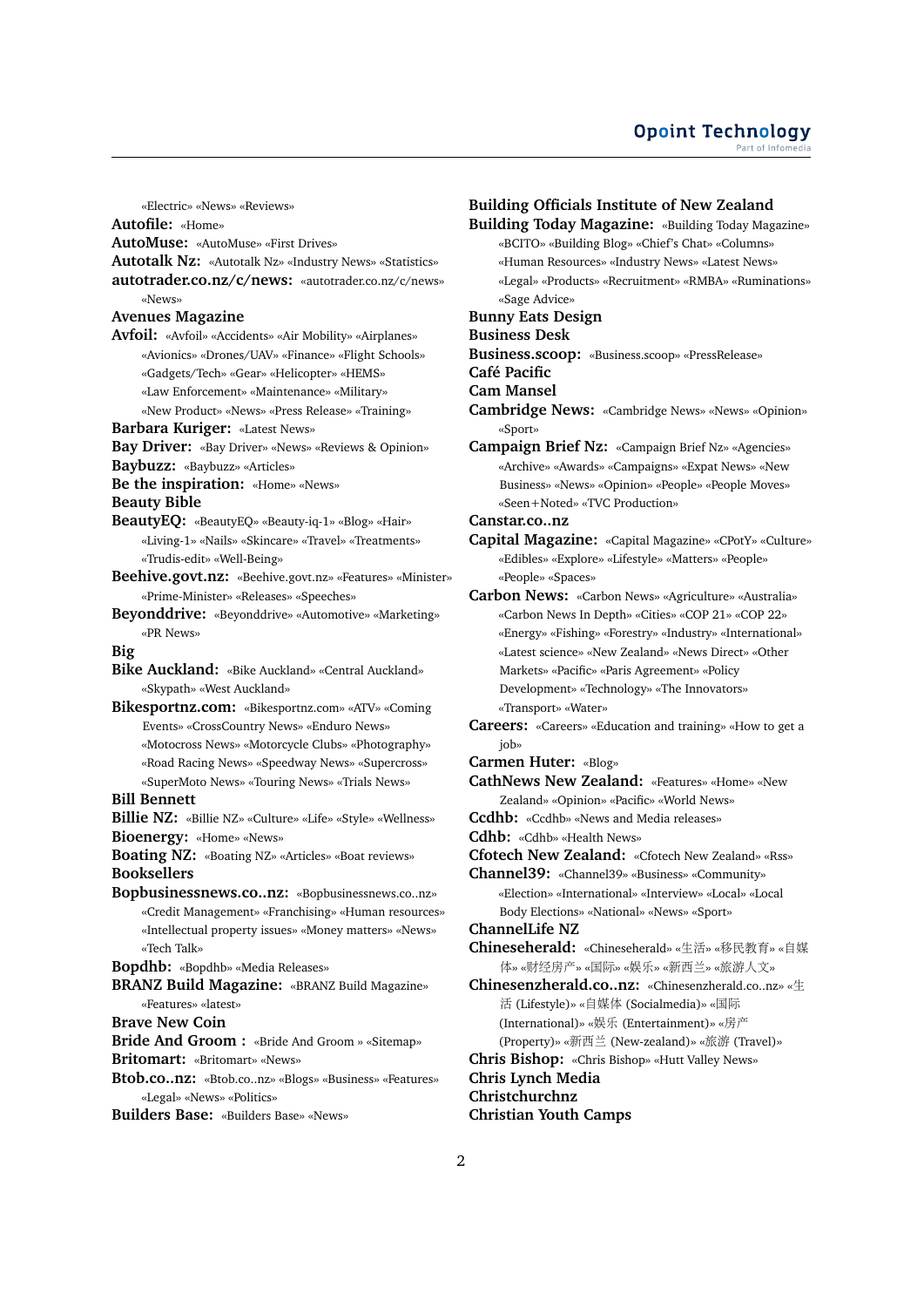«Electric» «News» «Reviews»

**Autofile:** «Home»

**AutoMuse:** «AutoMuse» «First Drives»

**Autotalk Nz:** «Autotalk Nz» «Industry News» «Statistics»

**autotrader.co.nz/c/news:** «autotrader.co.nz/c/news» «News»

### **Avenues Magazine**

**Avfoil:** «Avfoil» «Accidents» «Air Mobility» «Airplanes» «Avionics» «Drones/UAV» «Finance» «Flight Schools» «Gadgets/Tech» «Gear» «Helicopter» «HEMS» «Law Enforcement» «Maintenance» «Military»

«New Product» «News» «Press Release» «Training» **Barbara Kuriger:** «Latest News»

**Bay Driver:** «Bay Driver» «News» «Reviews & Opinion»

**Baybuzz:** «Baybuzz» «Articles»

**Be the inspiration:** «Home» «News»

**Beauty Bible**

- **BeautyEQ:** «BeautyEQ» «Beauty-iq-1» «Blog» «Hair» «Living-1» «Nails» «Skincare» «Travel» «Treatments» «Trudis-edit» «Well-Being»
- **Beehive.govt.nz:** «Beehive.govt.nz» «Features» «Minister» «Prime-Minister» «Releases» «Speeches»
- **Beyonddrive:** «Beyonddrive» «Automotive» «Marketing» «PR News»
- **Big**

**Bike Auckland:** «Bike Auckland» «Central Auckland» «Skypath» «West Auckland»

**Bikesportnz.com:** «Bikesportnz.com» «ATV» «Coming Events» «CrossCountry News» «Enduro News» «Motocross News» «Motorcycle Clubs» «Photography» «Road Racing News» «Speedway News» «Supercross» «SuperMoto News» «Touring News» «Trials News»

## **Bill Bennett**

**Billie NZ:** «Billie NZ» «Culture» «Life» «Style» «Wellness» **Bioenergy:** «Home» «News»

**Boating NZ:** «Boating NZ» «Articles» «Boat reviews» **Booksellers**

**Bopbusinessnews.co..nz:** «Bopbusinessnews.co..nz» «Credit Management» «Franchising» «Human resources» «Intellectual property issues» «Money matters» «News» «Tech Talk»

**Bopdhb:** «Bopdhb» «Media Releases»

**BRANZ Build Magazine:** «BRANZ Build Magazine» «Features» «latest»

**Brave New Coin**

**Bride And Groom :** «Bride And Groom » «Sitemap»

**Britomart:** «Britomart» «News»

**Btob.co..nz:** «Btob.co..nz» «Blogs» «Business» «Features» «Legal» «News» «Politics»

**Builders Base:** «Builders Base» «News»

**Building Officials Institute of New Zealand Building Today Magazine:** «Building Today Magazine» «BCITO» «Building Blog» «Chief's Chat» «Columns» «Human Resources» «Industry News» «Latest News» «Legal» «Products» «Recruitment» «RMBA» «Ruminations» «Sage Advice» **Bunny Eats Design Business Desk Business.scoop:** «Business.scoop» «PressRelease» **Café Pacific Cam Mansel Cambridge News:** «Cambridge News» «News» «Opinion» «Sport» **Campaign Brief Nz:** «Campaign Brief Nz» «Agencies» «Archive» «Awards» «Campaigns» «Expat News» «New Business» «News» «Opinion» «People» «People Moves» «Seen+Noted» «TVC Production» **Canstar.co..nz Capital Magazine:** «Capital Magazine» «CPotY» «Culture» «Edibles» «Explore» «Lifestyle» «Matters» «People» «People» «Spaces» **Carbon News:** «Carbon News» «Agriculture» «Australia» «Carbon News In Depth» «Cities» «COP 21» «COP 22» «Energy» «Fishing» «Forestry» «Industry» «International» «Latest science» «New Zealand» «News Direct» «Other Markets» «Pacific» «Paris Agreement» «Policy Development» «Technology» «The Innovators» «Transport» «Water» **Careers:** «Careers» «Education and training» «How to get a job» **Carmen Huter:** «Blog» **CathNews New Zealand:** «Features» «Home» «New Zealand» «Opinion» «Pacific» «World News» **Ccdhb:** «Ccdhb» «News and Media releases» **Cdhb:** «Cdhb» «Health News» **Cfotech New Zealand:** «Cfotech New Zealand» «Rss» **Channel39:** «Channel39» «Business» «Community» «Election» «International» «Interview» «Local» «Local Body Elections» «National» «News» «Sport» **ChannelLife NZ**

**Chineseherald:** «Chineseherald» «生活» «移民教育» «自<sup>媒</sup> 体» «财经房产» «国际» «娱乐» «新西兰» «旅游人文»

**Chinesenzherald.co..nz:** «Chinesenzherald.co..nz» «生 <sup>活</sup> (Lifestyle)» «自媒体 (Socialmedia)» «国<sup>际</sup> (International)» «娱<sup>乐</sup> (Entertainment)» «房<sup>产</sup> (Property)» «新西兰 (New-zealand)» «旅游 (Travel)»

**Chris Bishop:** «Chris Bishop» «Hutt Valley News»

**Chris Lynch Media Christchurchnz**

**Christian Youth Camps**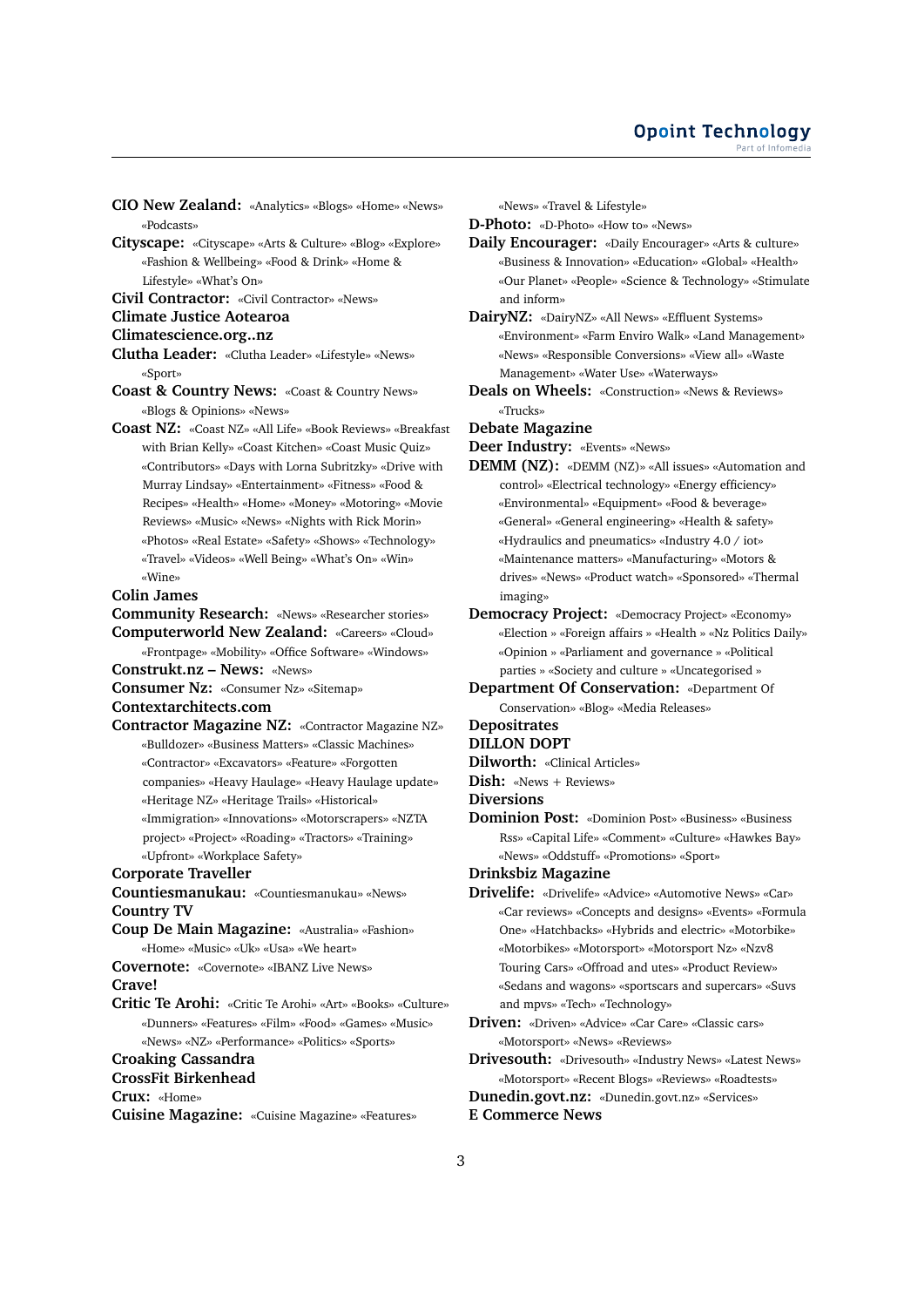- **CIO New Zealand:** «Analytics» «Blogs» «Home» «News» «Podcasts»
- **Cityscape:** «Cityscape» «Arts & Culture» «Blog» «Explore» «Fashion & Wellbeing» «Food & Drink» «Home & Lifestyle» «What's On»

**Civil Contractor:** «Civil Contractor» «News»

## **Climate Justice Aotearoa**

- **Climatescience.org..nz**
- **Clutha Leader:** «Clutha Leader» «Lifestyle» «News» «Sport»
- **Coast & Country News:** «Coast & Country News» «Blogs & Opinions» «News»
- **Coast NZ:** «Coast NZ» «All Life» «Book Reviews» «Breakfast with Brian Kelly» «Coast Kitchen» «Coast Music Quiz» «Contributors» «Days with Lorna Subritzky» «Drive with Murray Lindsay» «Entertainment» «Fitness» «Food & Recipes» «Health» «Home» «Money» «Motoring» «Movie Reviews» «Music» «News» «Nights with Rick Morin» «Photos» «Real Estate» «Safety» «Shows» «Technology» «Travel» «Videos» «Well Being» «What's On» «Win» «Wine»

## **Colin James**

**Community Research:** «News» «Researcher stories»

**Computerworld New Zealand:** «Careers» «Cloud» «Frontpage» «Mobility» «Office Software» «Windows»

**Construkt.nz – News:** «News»

**Consumer Nz:** «Consumer Nz» «Sitemap»

**Contextarchitects.com**

**Contractor Magazine NZ:** «Contractor Magazine NZ» «Bulldozer» «Business Matters» «Classic Machines» «Contractor» «Excavators» «Feature» «Forgotten companies» «Heavy Haulage» «Heavy Haulage update» «Heritage NZ» «Heritage Trails» «Historical» «Immigration» «Innovations» «Motorscrapers» «NZTA project» «Project» «Roading» «Tractors» «Training» «Upfront» «Workplace Safety»

**Corporate Traveller**

**Countiesmanukau:** «Countiesmanukau» «News» **Country TV**

- **Coup De Main Magazine:** «Australia» «Fashion» «Home» «Music» «Uk» «Usa» «We heart»
- **Covernote:** «Covernote» «IBANZ Live News»

**Crave!**

**Critic Te Arohi:** «Critic Te Arohi» «Art» «Books» «Culture» «Dunners» «Features» «Film» «Food» «Games» «Music» «News» «NZ» «Performance» «Politics» «Sports»

# **Croaking Cassandra**

**CrossFit Birkenhead**

**Crux:** «Home»

**Cuisine Magazine:** «Cuisine Magazine» «Features»

«News» «Travel & Lifestyle»

**D-Photo:** «D-Photo» «How to» «News»

- **Daily Encourager:** «Daily Encourager» «Arts & culture» «Business & Innovation» «Education» «Global» «Health» «Our Planet» «People» «Science & Technology» «Stimulate and inform»
- **DairyNZ:** «DairyNZ» «All News» «Effluent Systems» «Environment» «Farm Enviro Walk» «Land Management» «News» «Responsible Conversions» «View all» «Waste Management» «Water Use» «Waterways»
- **Deals on Wheels:** «Construction» «News & Reviews» «Trucks»

#### **Debate Magazine**

**Deer Industry:** «Events» «News»

- **DEMM (NZ):** «DEMM (NZ)» «All issues» «Automation and control» «Electrical technology» «Energy efficiency» «Environmental» «Equipment» «Food & beverage» «General» «General engineering» «Health & safety» «Hydraulics and pneumatics» «Industry 4.0 / iot» «Maintenance matters» «Manufacturing» «Motors & drives» «News» «Product watch» «Sponsored» «Thermal imaging»
- **Democracy Project:** «Democracy Project» «Economy» «Election » «Foreign affairs » «Health » «Nz Politics Daily» «Opinion » «Parliament and governance » «Political parties » «Society and culture » «Uncategorised »
- **Department Of Conservation:** «Department Of Conservation» «Blog» «Media Releases»

# **Depositrates**

- **DILLON DOPT**
- **Dilworth:** «Clinical Articles»

**Dish:** «News + Reviews»

**Diversions**

**Dominion Post:** «Dominion Post» «Business» «Business Rss» «Capital Life» «Comment» «Culture» «Hawkes Bay» «News» «Oddstuff» «Promotions» «Sport»

**Drinksbiz Magazine**

- **Drivelife:** «Drivelife» «Advice» «Automotive News» «Car» «Car reviews» «Concepts and designs» «Events» «Formula One» «Hatchbacks» «Hybrids and electric» «Motorbike» «Motorbikes» «Motorsport» «Motorsport Nz» «Nzv8 Touring Cars» «Offroad and utes» «Product Review» «Sedans and wagons» «sportscars and supercars» «Suvs and mpvs» «Tech» «Technology»
- **Driven:** «Driven» «Advice» «Car Care» «Classic cars» «Motorsport» «News» «Reviews»

**Drivesouth:** «Drivesouth» «Industry News» «Latest News» «Motorsport» «Recent Blogs» «Reviews» «Roadtests» **Dunedin.govt.nz:** «Dunedin.govt.nz» «Services» **E Commerce News**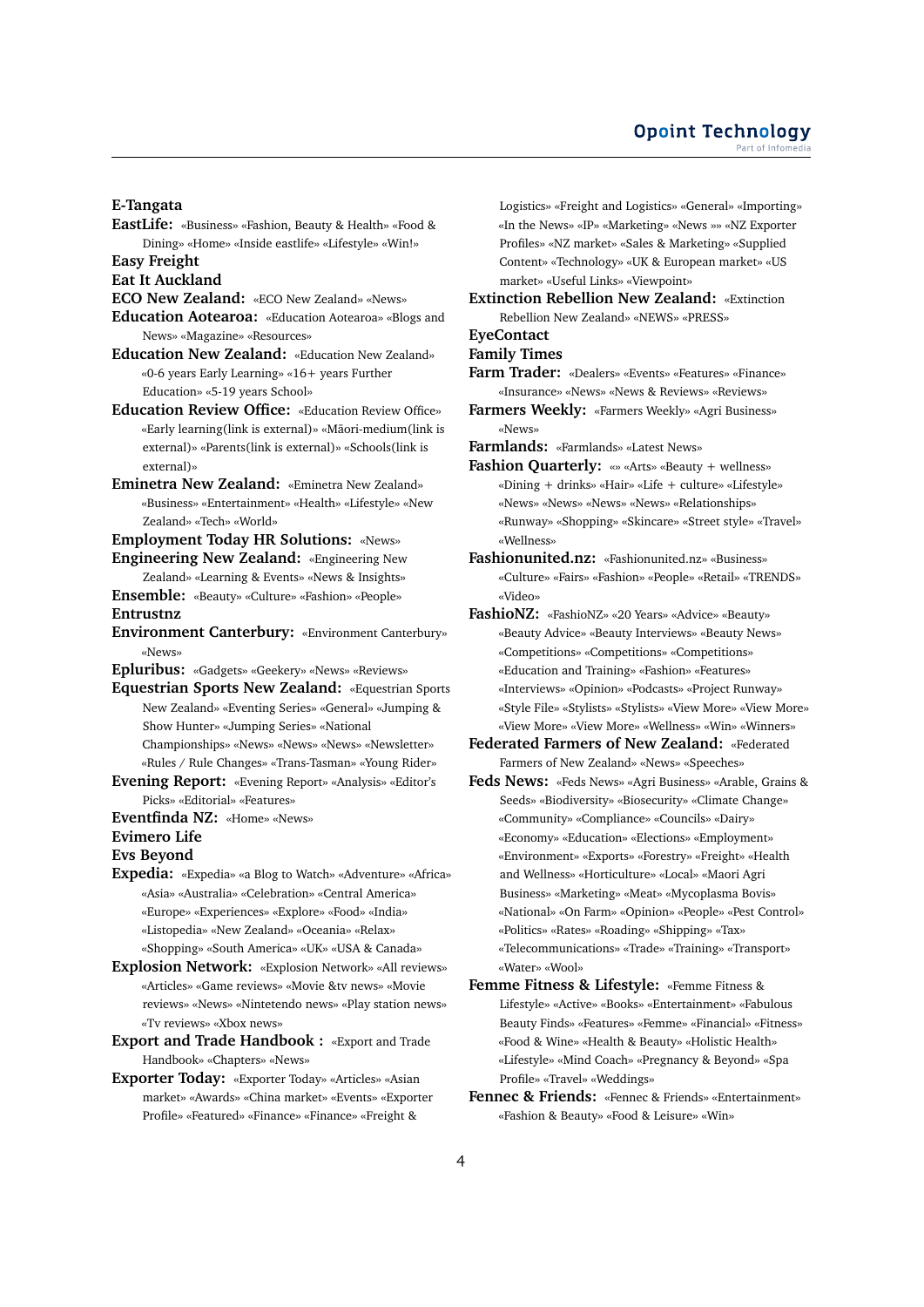**E-Tangata**

**EastLife:** «Business» «Fashion, Beauty & Health» «Food & Dining» «Home» «Inside eastlife» «Lifestyle» «Win!»

**Easy Freight**

**Eat It Auckland**

- **ECO New Zealand:** «ECO New Zealand» «News»
- **Education Aotearoa:** «Education Aotearoa» «Blogs and News» «Magazine» «Resources»
- **Education New Zealand:** «Education New Zealand» «0-6 years Early Learning» «16+ years Further Education» «5-19 years School»
- **Education Review Office:** «Education Review Office» «Early learning(link is external)» «Maori-medium(link is ¯ external)» «Parents(link is external)» «Schools(link is external)»
- **Eminetra New Zealand:** «Eminetra New Zealand» «Business» «Entertainment» «Health» «Lifestyle» «New Zealand» «Tech» «World»
- **Employment Today HR Solutions:** «News»
- **Engineering New Zealand:** «Engineering New Zealand» «Learning & Events» «News & Insights»
- **Ensemble:** «Beauty» «Culture» «Fashion» «People» **Entrustnz**
- **Environment Canterbury:** «Environment Canterbury» «News»

**Epluribus:** «Gadgets» «Geekery» «News» «Reviews»

**Equestrian Sports New Zealand:** «Equestrian Sports New Zealand» «Eventing Series» «General» «Jumping & Show Hunter» «Jumping Series» «National Championships» «News» «News» «News» «Newsletter» «Rules / Rule Changes» «Trans-Tasman» «Young Rider»

- **Evening Report:** «Evening Report» «Analysis» «Editor's Picks» «Editorial» «Features»
- **Eventfinda NZ:** «Home» «News»

## **Evimero Life**

**Evs Beyond**

**Expedia:** «Expedia» «a Blog to Watch» «Adventure» «Africa» «Asia» «Australia» «Celebration» «Central America» «Europe» «Experiences» «Explore» «Food» «India» «Listopedia» «New Zealand» «Oceania» «Relax» «Shopping» «South America» «UK» «USA & Canada»

**Explosion Network:** «Explosion Network» «All reviews» «Articles» «Game reviews» «Movie &tv news» «Movie reviews» «News» «Nintetendo news» «Play station news» «Tv reviews» «Xbox news»

**Export and Trade Handbook :** «Export and Trade Handbook» «Chapters» «News»

**Exporter Today:** «Exporter Today» «Articles» «Asian market» «Awards» «China market» «Events» «Exporter Profile» «Featured» «Finance» «Finance» «Freight &

Logistics» «Freight and Logistics» «General» «Importing» «In the News» «IP» «Marketing» «News »» «NZ Exporter Profiles» «NZ market» «Sales & Marketing» «Supplied Content» «Technology» «UK & European market» «US market» «Useful Links» «Viewpoint»

**Extinction Rebellion New Zealand:** «Extinction Rebellion New Zealand» «NEWS» «PRESS»

**EyeContact**

# **Family Times**

- **Farm Trader:** «Dealers» «Events» «Features» «Finance» «Insurance» «News» «News & Reviews» «Reviews»
- **Farmers Weekly:** «Farmers Weekly» «Agri Business» «News»

**Farmlands:** «Farmlands» «Latest News»

- **Fashion Quarterly:** «» «Arts» «Beauty + wellness» «Dining + drinks» «Hair» «Life + culture» «Lifestyle» «News» «News» «News» «News» «Relationships» «Runway» «Shopping» «Skincare» «Street style» «Travel» «Wellness»
- **Fashionunited.nz:** «Fashionunited.nz» «Business» «Culture» «Fairs» «Fashion» «People» «Retail» «TRENDS» «Video»
- **FashioNZ:** «FashioNZ» «20 Years» «Advice» «Beauty» «Beauty Advice» «Beauty Interviews» «Beauty News» «Competitions» «Competitions» «Competitions» «Education and Training» «Fashion» «Features» «Interviews» «Opinion» «Podcasts» «Project Runway» «Style File» «Stylists» «Stylists» «View More» «View More» «View More» «View More» «Wellness» «Win» «Winners»
- **Federated Farmers of New Zealand:** «Federated Farmers of New Zealand» «News» «Speeches»
- **Feds News:** «Feds News» «Agri Business» «Arable, Grains & Seeds» «Biodiversity» «Biosecurity» «Climate Change» «Community» «Compliance» «Councils» «Dairy» «Economy» «Education» «Elections» «Employment» «Environment» «Exports» «Forestry» «Freight» «Health and Wellness» «Horticulture» «Local» «Maori Agri Business» «Marketing» «Meat» «Mycoplasma Bovis» «National» «On Farm» «Opinion» «People» «Pest Control» «Politics» «Rates» «Roading» «Shipping» «Tax» «Telecommunications» «Trade» «Training» «Transport» «Water» «Wool»
- **Femme Fitness & Lifestyle:** «Femme Fitness & Lifestyle» «Active» «Books» «Entertainment» «Fabulous Beauty Finds» «Features» «Femme» «Financial» «Fitness» «Food & Wine» «Health & Beauty» «Holistic Health» «Lifestyle» «Mind Coach» «Pregnancy & Beyond» «Spa Profile» «Travel» «Weddings»
- **Fennec & Friends:** «Fennec & Friends» «Entertainment» «Fashion & Beauty» «Food & Leisure» «Win»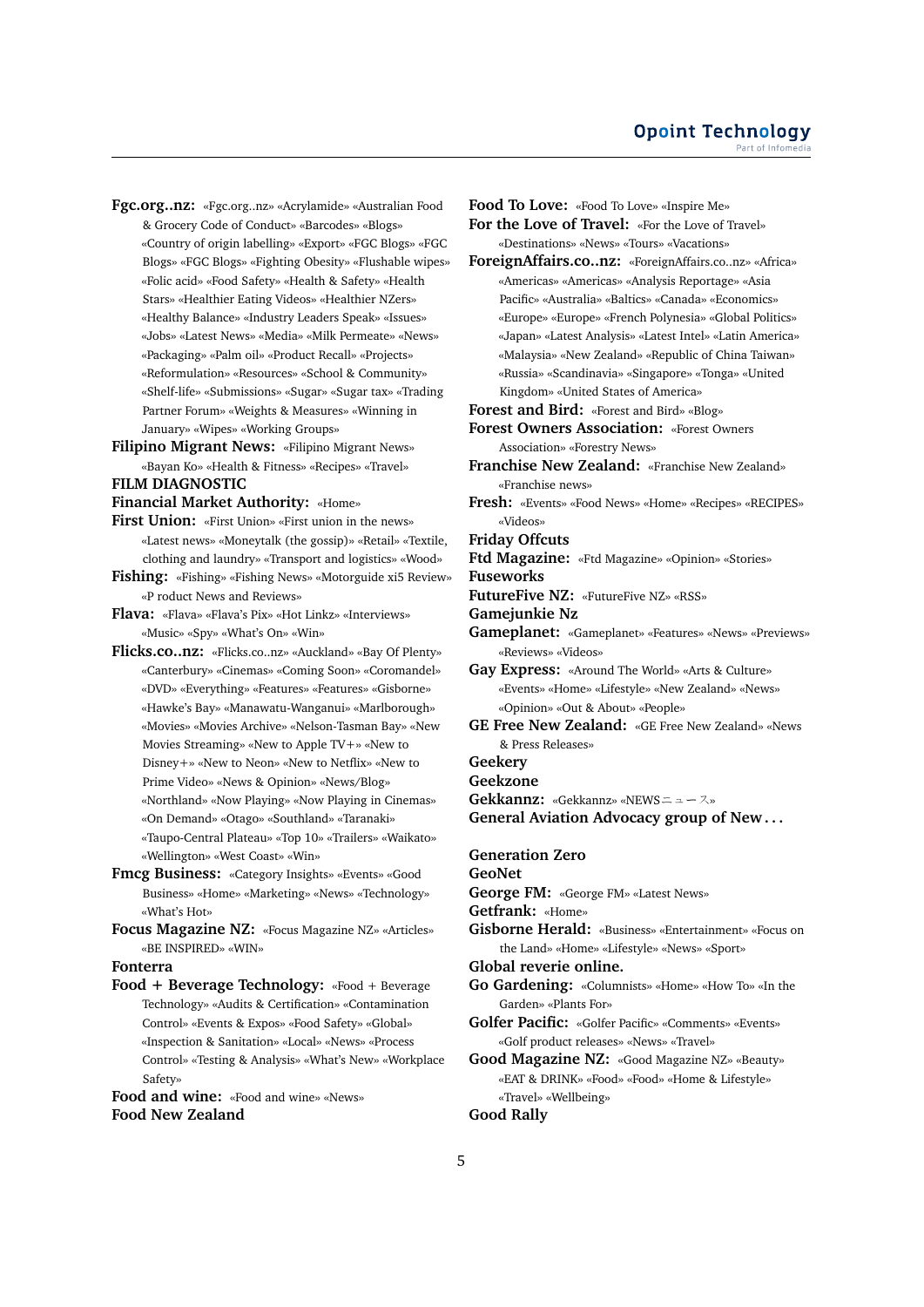**Fgc.org..nz:** «Fgc.org..nz» «Acrylamide» «Australian Food & Grocery Code of Conduct» «Barcodes» «Blogs» «Country of origin labelling» «Export» «FGC Blogs» «FGC Blogs» «FGC Blogs» «Fighting Obesity» «Flushable wipes» «Folic acid» «Food Safety» «Health & Safety» «Health Stars» «Healthier Eating Videos» «Healthier NZers» «Healthy Balance» «Industry Leaders Speak» «Issues» «Jobs» «Latest News» «Media» «Milk Permeate» «News» «Packaging» «Palm oil» «Product Recall» «Projects» «Reformulation» «Resources» «School & Community» «Shelf-life» «Submissions» «Sugar» «Sugar tax» «Trading Partner Forum» «Weights & Measures» «Winning in January» «Wipes» «Working Groups»

**Filipino Migrant News:** «Filipino Migrant News» «Bayan Ko» «Health & Fitness» «Recipes» «Travel»

# **FILM DIAGNOSTIC**

**Financial Market Authority:** «Home»

- First Union: «First Union» «First union in the news» «Latest news» «Moneytalk (the gossip)» «Retail» «Textile, clothing and laundry» «Transport and logistics» «Wood»
- **Fishing:** «Fishing» «Fishing News» «Motorguide xi5 Review» «P roduct News and Reviews»

**Flava:** «Flava» «Flava's Pix» «Hot Linkz» «Interviews» «Music» «Spy» «What's On» «Win»

- **Flicks.co..nz:** «Flicks.co..nz» «Auckland» «Bay Of Plenty» «Canterbury» «Cinemas» «Coming Soon» «Coromandel» «DVD» «Everything» «Features» «Features» «Gisborne» «Hawke's Bay» «Manawatu-Wanganui» «Marlborough» «Movies» «Movies Archive» «Nelson-Tasman Bay» «New Movies Streaming» «New to Apple TV+» «New to Disney+» «New to Neon» «New to Netflix» «New to Prime Video» «News & Opinion» «News/Blog» «Northland» «Now Playing» «Now Playing in Cinemas» «On Demand» «Otago» «Southland» «Taranaki» «Taupo-Central Plateau» «Top 10» «Trailers» «Waikato» «Wellington» «West Coast» «Win»
- **Fmcg Business:** «Category Insights» «Events» «Good Business» «Home» «Marketing» «News» «Technology» «What's Hot»
- **Focus Magazine NZ:** «Focus Magazine NZ» «Articles» «BE INSPIRED» «WIN»

**Fonterra**

**Food + Beverage Technology:** «Food + Beverage Technology» «Audits & Certification» «Contamination Control» «Events & Expos» «Food Safety» «Global» «Inspection & Sanitation» «Local» «News» «Process Control» «Testing & Analysis» «What's New» «Workplace Safety»

**Food and wine:** «Food and wine» «News» **Food New Zealand**

**Food To Love:** «Food To Love» «Inspire Me»

**For the Love of Travel:** «For the Love of Travel» «Destinations» «News» «Tours» «Vacations»

- **ForeignAffairs.co..nz:** «ForeignAffairs.co..nz» «Africa» «Americas» «Americas» «Analysis Reportage» «Asia Pacific» «Australia» «Baltics» «Canada» «Economics» «Europe» «Europe» «French Polynesia» «Global Politics» «Japan» «Latest Analysis» «Latest Intel» «Latin America» «Malaysia» «New Zealand» «Republic of China Taiwan» «Russia» «Scandinavia» «Singapore» «Tonga» «United Kingdom» «United States of America»
- **Forest and Bird:** «Forest and Bird» «Blog»

**Forest Owners Association:** «Forest Owners Association» «Forestry News»

**Franchise New Zealand:** «Franchise New Zealand» «Franchise news»

**Fresh:** «Events» «Food News» «Home» «Recipes» «RECIPES» «Videos»

**Friday Offcuts**

**Ftd Magazine:** «Ftd Magazine» «Opinion» «Stories» **Fuseworks**

**FutureFive NZ:** «FutureFive NZ» «RSS»

**Gamejunkie Nz**

**Gameplanet:** «Gameplanet» «Features» «News» «Previews» «Reviews» «Videos»

**Gay Express:** «Around The World» «Arts & Culture» «Events» «Home» «Lifestyle» «New Zealand» «News» «Opinion» «Out & About» «People»

- **GE Free New Zealand:** «GE Free New Zealand» «News & Press Releases»
- **Geekery**

**Geekzone**

**Gekkannz:** «Gekkannz» «NEWSニュース»

**General Aviation Advocacy group of New . . .**

**Generation Zero**

**GeoNet**

**George FM:** «George FM» «Latest News»

**Getfrank:** «Home»

- **Gisborne Herald:** «Business» «Entertainment» «Focus on the Land» «Home» «Lifestyle» «News» «Sport»
- **Global reverie online.**
- **Go Gardening:** «Columnists» «Home» «How To» «In the Garden» «Plants For»
- **Golfer Pacific:** «Golfer Pacific» «Comments» «Events» «Golf product releases» «News» «Travel»

**Good Magazine NZ:** «Good Magazine NZ» «Beauty» «EAT & DRINK» «Food» «Food» «Home & Lifestyle» «Travel» «Wellbeing»

# **Good Rally**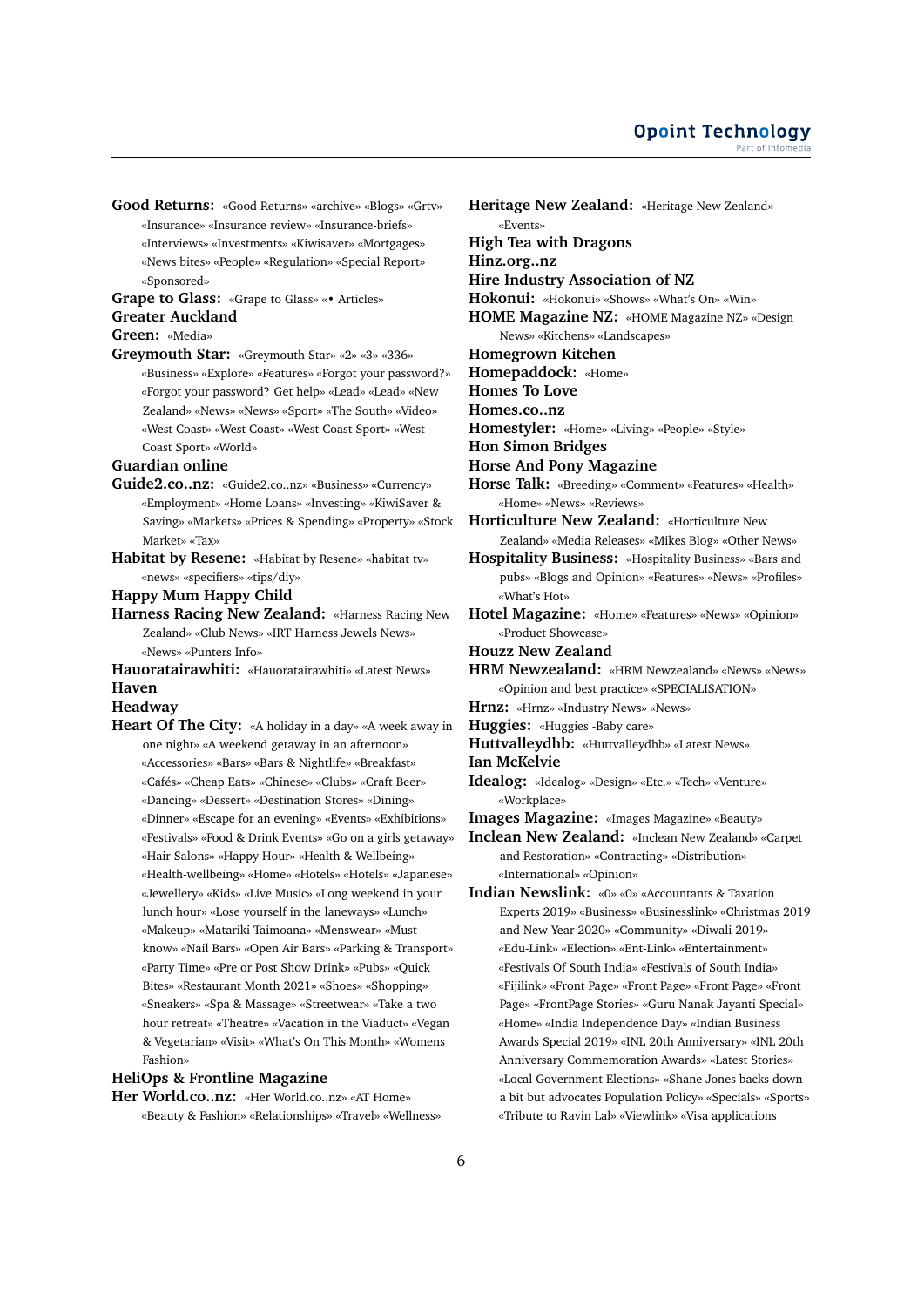**Good Returns:** «Good Returns» «archive» «Blogs» «Grtv» «Insurance» «Insurance review» «Insurance-briefs» «Interviews» «Investments» «Kiwisaver» «Mortgages» «News bites» «People» «Regulation» «Special Report» «Sponsored»

**Grape to Glass:** «Grape to Glass» «• Articles» **Greater Auckland**

## **Green:** «Media»

**Greymouth Star:** «Greymouth Star» «2» «3» «336» «Business» «Explore» «Features» «Forgot your password?» «Forgot your password? Get help» «Lead» «Lead» «New Zealand» «News» «News» «Sport» «The South» «Video» «West Coast» «West Coast» «West Coast Sport» «West Coast Sport» «World»

## **Guardian online**

- **Guide2.co..nz:** «Guide2.co..nz» «Business» «Currency» «Employment» «Home Loans» «Investing» «KiwiSaver & Saving» «Markets» «Prices & Spending» «Property» «Stock Market» «Tax»
- **Habitat by Resene:** «Habitat by Resene» «habitat tv» «news» «specifiers» «tips/diy»

#### **Happy Mum Happy Child**

- **Harness Racing New Zealand:** «Harness Racing New Zealand» «Club News» «IRT Harness Jewels News» «News» «Punters Info»
- **Hauoratairawhiti:** «Hauoratairawhiti» «Latest News» **Haven**

# **Headway**

**Heart Of The City:** «A holiday in a day» «A week away in one night» «A weekend getaway in an afternoon» «Accessories» «Bars» «Bars & Nightlife» «Breakfast» «Cafés» «Cheap Eats» «Chinese» «Clubs» «Craft Beer» «Dancing» «Dessert» «Destination Stores» «Dining» «Dinner» «Escape for an evening» «Events» «Exhibitions» «Festivals» «Food & Drink Events» «Go on a girls getaway» «Hair Salons» «Happy Hour» «Health & Wellbeing» «Health-wellbeing» «Home» «Hotels» «Hotels» «Japanese» «Jewellery» «Kids» «Live Music» «Long weekend in your lunch hour» «Lose yourself in the laneways» «Lunch» «Makeup» «Matariki Taimoana» «Menswear» «Must know» «Nail Bars» «Open Air Bars» «Parking & Transport» «Party Time» «Pre or Post Show Drink» «Pubs» «Quick Bites» «Restaurant Month 2021» «Shoes» «Shopping» «Sneakers» «Spa & Massage» «Streetwear» «Take a two hour retreat» «Theatre» «Vacation in the Viaduct» «Vegan & Vegetarian» «Visit» «What's On This Month» «Womens Fashion»

## **HeliOps & Frontline Magazine**

**Her World.co..nz:** «Her World.co..nz» «AT Home» «Beauty & Fashion» «Relationships» «Travel» «Wellness»

**Heritage New Zealand:** «Heritage New Zealand» «Events» **High Tea with Dragons Hinz.org..nz Hire Industry Association of NZ Hokonui:** «Hokonui» «Shows» «What's On» «Win» **HOME Magazine NZ:** «HOME Magazine NZ» «Design News» «Kitchens» «Landscapes» **Homegrown Kitchen Homepaddock:** «Home» **Homes To Love Homes.co..nz Homestyler:** «Home» «Living» «People» «Style» **Hon Simon Bridges Horse And Pony Magazine Horse Talk:** «Breeding» «Comment» «Features» «Health» «Home» «News» «Reviews» **Horticulture New Zealand:** «Horticulture New Zealand» «Media Releases» «Mikes Blog» «Other News» **Hospitality Business:** «Hospitality Business» «Bars and pubs» «Blogs and Opinion» «Features» «News» «Profiles» «What's Hot» **Hotel Magazine:** «Home» «Features» «News» «Opinion» «Product Showcase» **Houzz New Zealand HRM Newzealand:** «HRM Newzealand» «News» «News» «Opinion and best practice» «SPECIALISATION» **Hrnz:** «Hrnz» «Industry News» «News» **Huggies:** «Huggies -Baby care» **Huttvalleydhb:** «Huttvalleydhb» «Latest News» **Ian McKelvie Idealog:** «Idealog» «Design» «Etc.» «Tech» «Venture» «Workplace» **Images Magazine:** «Images Magazine» «Beauty» **Inclean New Zealand:** «Inclean New Zealand» «Carpet and Restoration» «Contracting» «Distribution» «International» «Opinion» **Indian Newslink:** «0» «0» «Accountants & Taxation Experts 2019» «Business» «Businesslink» «Christmas 2019 and New Year 2020» «Community» «Diwali 2019» «Edu-Link» «Election» «Ent-Link» «Entertainment» «Festivals Of South India» «Festivals of South India» «Fijilink» «Front Page» «Front Page» «Front Page» «Front Page» «FrontPage Stories» «Guru Nanak Jayanti Special» «Home» «India Independence Day» «Indian Business Awards Special 2019» «INL 20th Anniversary» «INL 20th Anniversary Commemoration Awards» «Latest Stories» «Local Government Elections» «Shane Jones backs down a bit but advocates Population Policy» «Specials» «Sports»

«Tribute to Ravin Lal» «Viewlink» «Visa applications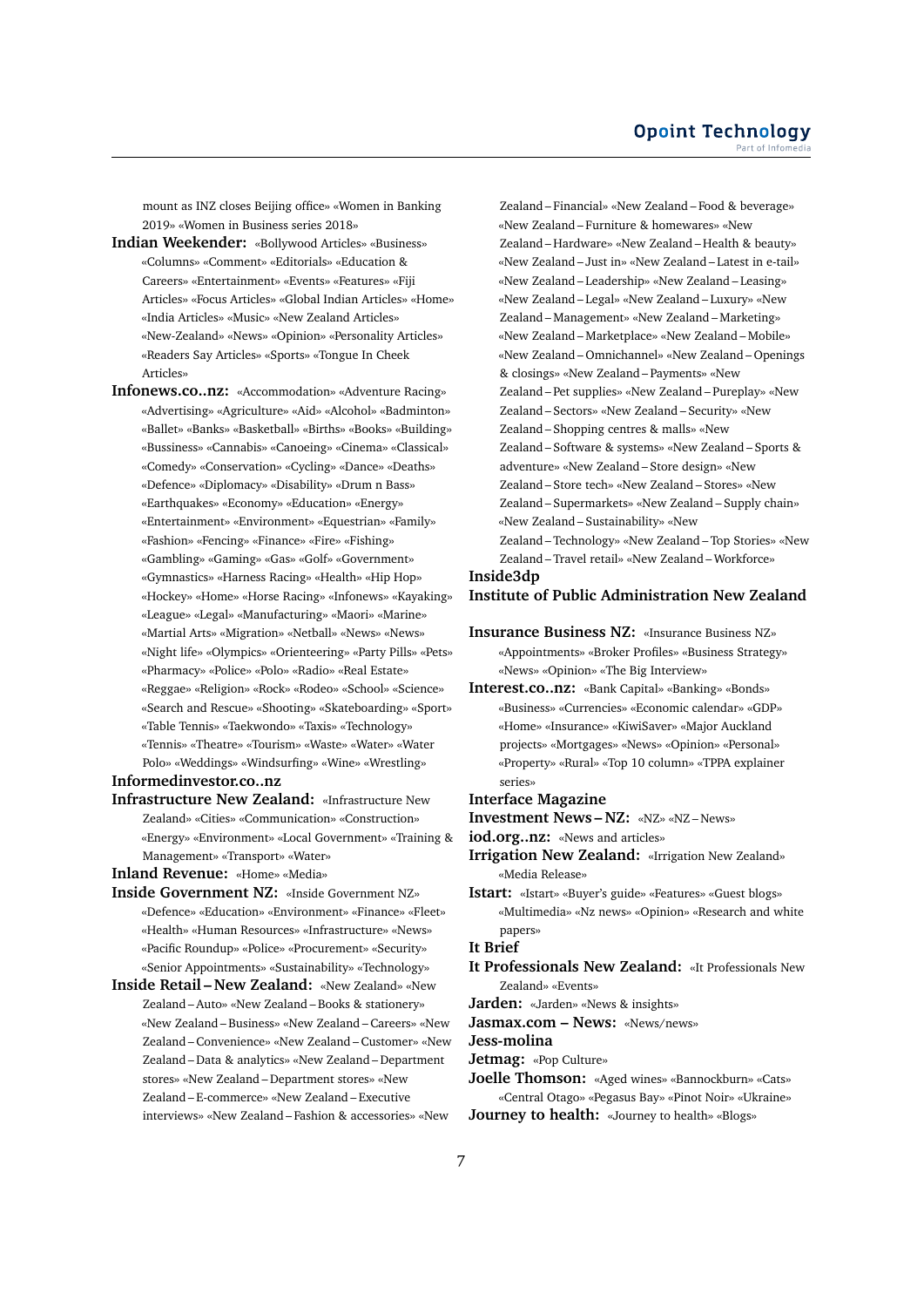mount as INZ closes Beijing office» «Women in Banking 2019» «Women in Business series 2018»

- **Indian Weekender:** «Bollywood Articles» «Business» «Columns» «Comment» «Editorials» «Education & Careers» «Entertainment» «Events» «Features» «Fiji Articles» «Focus Articles» «Global Indian Articles» «Home» «India Articles» «Music» «New Zealand Articles» «New-Zealand» «News» «Opinion» «Personality Articles» «Readers Say Articles» «Sports» «Tongue In Cheek Articles»
- **Infonews.co..nz:** «Accommodation» «Adventure Racing» «Advertising» «Agriculture» «Aid» «Alcohol» «Badminton» «Ballet» «Banks» «Basketball» «Births» «Books» «Building» «Bussiness» «Cannabis» «Canoeing» «Cinema» «Classical» «Comedy» «Conservation» «Cycling» «Dance» «Deaths» «Defence» «Diplomacy» «Disability» «Drum n Bass» «Earthquakes» «Economy» «Education» «Energy» «Entertainment» «Environment» «Equestrian» «Family» «Fashion» «Fencing» «Finance» «Fire» «Fishing» «Gambling» «Gaming» «Gas» «Golf» «Government» «Gymnastics» «Harness Racing» «Health» «Hip Hop» «Hockey» «Home» «Horse Racing» «Infonews» «Kayaking» «League» «Legal» «Manufacturing» «Maori» «Marine» «Martial Arts» «Migration» «Netball» «News» «News» «Night life» «Olympics» «Orienteering» «Party Pills» «Pets» «Pharmacy» «Police» «Polo» «Radio» «Real Estate» «Reggae» «Religion» «Rock» «Rodeo» «School» «Science» «Search and Rescue» «Shooting» «Skateboarding» «Sport» «Table Tennis» «Taekwondo» «Taxis» «Technology» «Tennis» «Theatre» «Tourism» «Waste» «Water» «Water Polo» «Weddings» «Windsurfing» «Wine» «Wrestling»

**Informedinvestor.co..nz**

**Infrastructure New Zealand:** «Infrastructure New Zealand» «Cities» «Communication» «Construction» «Energy» «Environment» «Local Government» «Training & Management» «Transport» «Water»

**Inland Revenue:** «Home» «Media»

- **Inside Government NZ:** «Inside Government NZ» «Defence» «Education» «Environment» «Finance» «Fleet» «Health» «Human Resources» «Infrastructure» «News» «Pacific Roundup» «Police» «Procurement» «Security» «Senior Appointments» «Sustainability» «Technology»
- **Inside Retail New Zealand:** «New Zealand» «New Zealand – Auto» «New Zealand – Books & stationery» «New Zealand – Business» «New Zealand – Careers» «New Zealand – Convenience» «New Zealand – Customer» «New Zealand – Data & analytics» «New Zealand – Department stores» «New Zealand – Department stores» «New Zealand – E-commerce» «New Zealand – Executive interviews» «New Zealand – Fashion & accessories» «New

Zealand – Financial» «New Zealand – Food & beverage» «New Zealand – Furniture & homewares» «New Zealand – Hardware» «New Zealand – Health & beauty» «New Zealand – Just in» «New Zealand – Latest in e-tail» «New Zealand – Leadership» «New Zealand – Leasing» «New Zealand – Legal» «New Zealand – Luxury» «New Zealand – Management» «New Zealand – Marketing» «New Zealand – Marketplace» «New Zealand – Mobile» «New Zealand – Omnichannel» «New Zealand – Openings & closings» «New Zealand – Payments» «New Zealand – Pet supplies» «New Zealand – Pureplay» «New Zealand – Sectors» «New Zealand – Security» «New Zealand – Shopping centres & malls» «New Zealand – Software & systems» «New Zealand – Sports & adventure» «New Zealand – Store design» «New Zealand – Store tech» «New Zealand – Stores» «New Zealand – Supermarkets» «New Zealand – Supply chain» «New Zealand – Sustainability» «New Zealand – Technology» «New Zealand – Top Stories» «New Zealand – Travel retail» «New Zealand – Workforce»

**Inside3dp**

## **Institute of Public Administration New Zealand**

- **Insurance Business NZ:** «Insurance Business NZ» «Appointments» «Broker Profiles» «Business Strategy» «News» «Opinion» «The Big Interview»
- **Interest.co..nz:** «Bank Capital» «Banking» «Bonds» «Business» «Currencies» «Economic calendar» «GDP» «Home» «Insurance» «KiwiSaver» «Major Auckland projects» «Mortgages» «News» «Opinion» «Personal» «Property» «Rural» «Top 10 column» «TPPA explainer series»
- **Interface Magazine**

**Investment News – NZ:** «NZ» «NZ – News»

**iod.org..nz:** «News and articles»

**Irrigation New Zealand:** «Irrigation New Zealand» «Media Release»

**Istart:** «Istart» «Buyer's guide» «Features» «Guest blogs» «Multimedia» «Nz news» «Opinion» «Research and white papers»

### **It Brief**

**It Professionals New Zealand:** «It Professionals New Zealand» «Events»

**Jarden:** «Jarden» «News & insights»

**Jasmax.com – News:** «News/news»

**Jess-molina**

- **Jetmag:** «Pop Culture»
- **Joelle Thomson:** «Aged wines» «Bannockburn» «Cats» «Central Otago» «Pegasus Bay» «Pinot Noir» «Ukraine»

**Journey to health:** «Journey to health» «Blogs»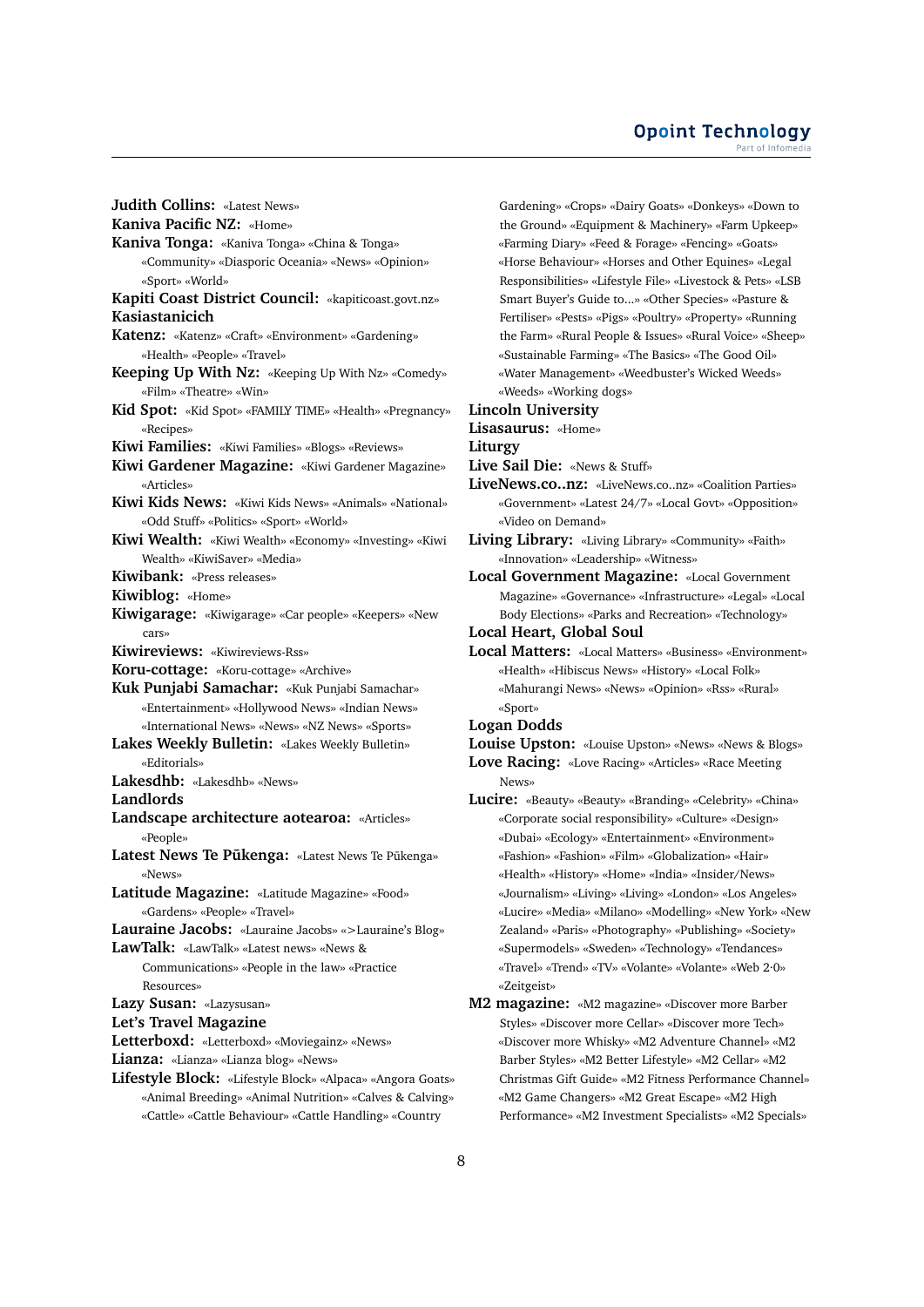## **Opoint Technology** Part of Infomed

**Judith Collins:** «Latest News» **Kaniva Pacific NZ:** «Home» **Kaniva Tonga:** «Kaniva Tonga» «China & Tonga» «Community» «Diasporic Oceania» «News» «Opinion» «Sport» «World» **Kapiti Coast District Council:** «kapiticoast.govt.nz» **Kasiastanicich Katenz:** «Katenz» «Craft» «Environment» «Gardening» «Health» «People» «Travel» **Keeping Up With Nz:** «Keeping Up With Nz» «Comedy» «Film» «Theatre» «Win» **Kid Spot:** «Kid Spot» «FAMILY TIME» «Health» «Pregnancy» «Recipes» **Kiwi Families:** «Kiwi Families» «Blogs» «Reviews» **Kiwi Gardener Magazine:** «Kiwi Gardener Magazine» «Articles» **Kiwi Kids News:** «Kiwi Kids News» «Animals» «National» «Odd Stuff» «Politics» «Sport» «World» **Kiwi Wealth:** «Kiwi Wealth» «Economy» «Investing» «Kiwi Wealth» «KiwiSaver» «Media» **Kiwibank:** «Press releases» **Kiwiblog:** «Home» **Kiwigarage:** «Kiwigarage» «Car people» «Keepers» «New cars» **Kiwireviews:** «Kiwireviews-Rss» **Koru-cottage:** «Koru-cottage» «Archive» **Kuk Punjabi Samachar:** «Kuk Punjabi Samachar» «Entertainment» «Hollywood News» «Indian News» «International News» «News» «NZ News» «Sports» **Lakes Weekly Bulletin:** «Lakes Weekly Bulletin» «Editorials» **Lakesdhb:** «Lakesdhb» «News» **Landlords Landscape architecture aotearoa:** «Articles» «People» Latest News Te Pukenga: «Latest News Te Pukenga» «News» **Latitude Magazine:** «Latitude Magazine» «Food» «Gardens» «People» «Travel» **Lauraine Jacobs:** «Lauraine Jacobs» «>Lauraine's Blog» **LawTalk:** «LawTalk» «Latest news» «News & Communications» «People in the law» «Practice Resources» **Lazy Susan:** «Lazysusan» **Let's Travel Magazine Letterboxd:** «Letterboxd» «Moviegainz» «News» **Lianza:** «Lianza» «Lianza blog» «News» **Lifestyle Block:** «Lifestyle Block» «Alpaca» «Angora Goats» «Animal Breeding» «Animal Nutrition» «Calves & Calving» «Cattle» «Cattle Behaviour» «Cattle Handling» «Country

Gardening» «Crops» «Dairy Goats» «Donkeys» «Down to the Ground» «Equipment & Machinery» «Farm Upkeep» «Farming Diary» «Feed & Forage» «Fencing» «Goats» «Horse Behaviour» «Horses and Other Equines» «Legal Responsibilities» «Lifestyle File» «Livestock & Pets» «LSB Smart Buyer's Guide to...» «Other Species» «Pasture & Fertiliser» «Pests» «Pigs» «Poultry» «Property» «Running the Farm» «Rural People & Issues» «Rural Voice» «Sheep» «Sustainable Farming» «The Basics» «The Good Oil» «Water Management» «Weedbuster's Wicked Weeds» «Weeds» «Working dogs»

### **Lincoln University**

## **Lisasaurus:** «Home»

#### **Liturgy**

- **Live Sail Die:** «News & Stuff»
- **LiveNews.co..nz:** «LiveNews.co..nz» «Coalition Parties» «Government» «Latest 24/7» «Local Govt» «Opposition» «Video on Demand»
- **Living Library:** «Living Library» «Community» «Faith» «Innovation» «Leadership» «Witness»
- **Local Government Magazine:** «Local Government Magazine» «Governance» «Infrastructure» «Legal» «Local Body Elections» «Parks and Recreation» «Technology»

**Local Heart, Global Soul**

**Local Matters:** «Local Matters» «Business» «Environment» «Health» «Hibiscus News» «History» «Local Folk» «Mahurangi News» «News» «Opinion» «Rss» «Rural» «Sport»

#### **Logan Dodds**

- **Louise Upston:** «Louise Upston» «News» «News & Blogs»
- **Love Racing:** «Love Racing» «Articles» «Race Meeting News»
- **Lucire:** «Beauty» «Beauty» «Branding» «Celebrity» «China» «Corporate social responsibility» «Culture» «Design» «Dubai» «Ecology» «Entertainment» «Environment» «Fashion» «Fashion» «Film» «Globalization» «Hair» «Health» «History» «Home» «India» «Insider/News» «Journalism» «Living» «Living» «London» «Los Angeles» «Lucire» «Media» «Milano» «Modelling» «New York» «New Zealand» «Paris» «Photography» «Publishing» «Society» «Supermodels» «Sweden» «Technology» «Tendances» «Travel» «Trend» «TV» «Volante» «Volante» «Web 2·0» «Zeitgeist»
- **M2 magazine:** «M2 magazine» «Discover more Barber Styles» «Discover more Cellar» «Discover more Tech» «Discover more Whisky» «M2 Adventure Channel» «M2 Barber Styles» «M2 Better Lifestyle» «M2 Cellar» «M2 Christmas Gift Guide» «M2 Fitness Performance Channel» «M2 Game Changers» «M2 Great Escape» «M2 High Performance» «M2 Investment Specialists» «M2 Specials»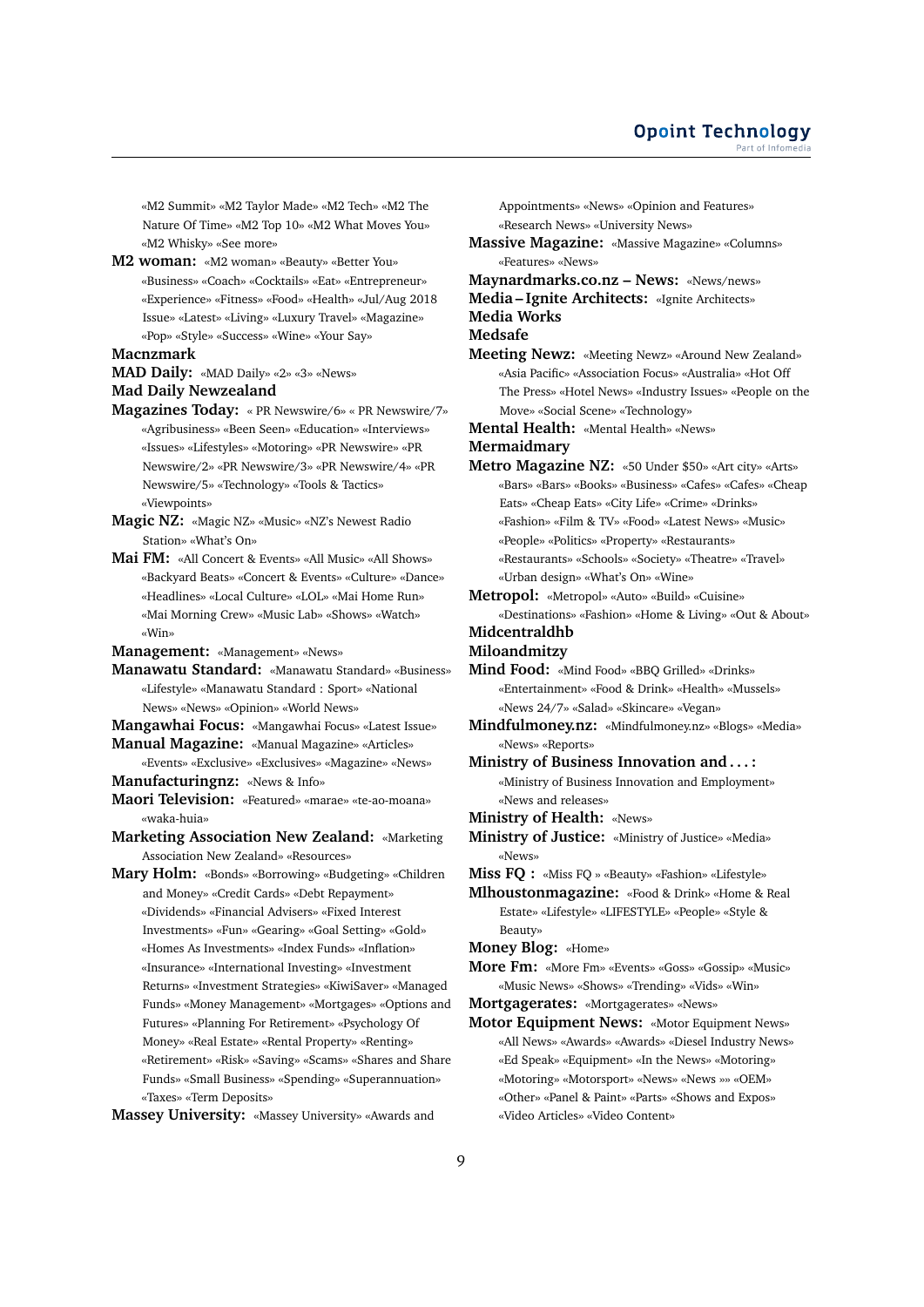«M2 Summit» «M2 Taylor Made» «M2 Tech» «M2 The Nature Of Time» «M2 Top 10» «M2 What Moves You» «M2 Whisky» «See more»

**M2 woman:** «M2 woman» «Beauty» «Better You» «Business» «Coach» «Cocktails» «Eat» «Entrepreneur» «Experience» «Fitness» «Food» «Health» «Jul/Aug 2018 Issue» «Latest» «Living» «Luxury Travel» «Magazine» «Pop» «Style» «Success» «Wine» «Your Say»

#### **Macnzmark**

**MAD Daily:** «MAD Daily» «2» «3» «News»

## **Mad Daily Newzealand**

- **Magazines Today:** « PR Newswire/6» « PR Newswire/7» «Agribusiness» «Been Seen» «Education» «Interviews» «Issues» «Lifestyles» «Motoring» «PR Newswire» «PR Newswire/2» «PR Newswire/3» «PR Newswire/4» «PR Newswire/5» «Technology» «Tools & Tactics» «Viewpoints»
- **Magic NZ:** «Magic NZ» «Music» «NZ's Newest Radio Station» «What's On»
- **Mai FM:** «All Concert & Events» «All Music» «All Shows» «Backyard Beats» «Concert & Events» «Culture» «Dance» «Headlines» «Local Culture» «LOL» «Mai Home Run» «Mai Morning Crew» «Music Lab» «Shows» «Watch» «Win»
- **Management:** «Management» «News»
- **Manawatu Standard:** «Manawatu Standard» «Business» «Lifestyle» «Manawatu Standard : Sport» «National News» «News» «Opinion» «World News»
- **Mangawhai Focus:** «Mangawhai Focus» «Latest Issue»
- **Manual Magazine:** «Manual Magazine» «Articles»
- «Events» «Exclusive» «Exclusives» «Magazine» «News» **Manufacturingnz:** «News & Info»
- **Maori Television:** «Featured» «marae» «te-ao-moana» «waka-huia»
- **Marketing Association New Zealand:** «Marketing Association New Zealand» «Resources»
- **Mary Holm:** «Bonds» «Borrowing» «Budgeting» «Children and Money» «Credit Cards» «Debt Repayment» «Dividends» «Financial Advisers» «Fixed Interest Investments» «Fun» «Gearing» «Goal Setting» «Gold» «Homes As Investments» «Index Funds» «Inflation» «Insurance» «International Investing» «Investment Returns» «Investment Strategies» «KiwiSaver» «Managed Funds» «Money Management» «Mortgages» «Options and Futures» «Planning For Retirement» «Psychology Of Money» «Real Estate» «Rental Property» «Renting» «Retirement» «Risk» «Saving» «Scams» «Shares and Share Funds» «Small Business» «Spending» «Superannuation» «Taxes» «Term Deposits»

**Massey University:** «Massey University» «Awards and

Appointments» «News» «Opinion and Features» «Research News» «University News» **Massive Magazine:** «Massive Magazine» «Columns» «Features» «News» **Maynardmarks.co.nz – News:** «News/news» **Media – Ignite Architects:** «Ignite Architects» **Media Works Medsafe Meeting Newz:** «Meeting Newz» «Around New Zealand» «Asia Pacific» «Association Focus» «Australia» «Hot Off The Press» «Hotel News» «Industry Issues» «People on the Move» «Social Scene» «Technology» **Mental Health:** «Mental Health» «News» **Mermaidmary Metro Magazine NZ:** «50 Under \$50» «Art city» «Arts» «Bars» «Bars» «Books» «Business» «Cafes» «Cafes» «Cheap Eats» «Cheap Eats» «City Life» «Crime» «Drinks» «Fashion» «Film & TV» «Food» «Latest News» «Music» «People» «Politics» «Property» «Restaurants» «Restaurants» «Schools» «Society» «Theatre» «Travel» «Urban design» «What's On» «Wine» **Metropol:** «Metropol» «Auto» «Build» «Cuisine» «Destinations» «Fashion» «Home & Living» «Out & About» **Midcentraldhb Miloandmitzy Mind Food:** «Mind Food» «BBQ Grilled» «Drinks» «Entertainment» «Food & Drink» «Health» «Mussels»

«News 24/7» «Salad» «Skincare» «Vegan»

**Mindfulmoney.nz:** «Mindfulmoney.nz» «Blogs» «Media» «News» «Reports»

- **Ministry of Business Innovation and . . . :** «Ministry of Business Innovation and Employment» «News and releases»
- **Ministry of Health:** «News»
- **Ministry of Justice:** «Ministry of Justice» «Media» «News»
- **Miss FQ :** «Miss FQ » «Beauty» «Fashion» «Lifestyle»
- **Mlhoustonmagazine:** «Food & Drink» «Home & Real Estate» «Lifestyle» «LIFESTYLE» «People» «Style & Beauty»

**Money Blog:** «Home»

- **More Fm:** «More Fm» «Events» «Goss» «Gossip» «Music» «Music News» «Shows» «Trending» «Vids» «Win»
- **Mortgagerates:** «Mortgagerates» «News»
- **Motor Equipment News:** «Motor Equipment News» «All News» «Awards» «Awards» «Diesel Industry News» «Ed Speak» «Equipment» «In the News» «Motoring» «Motoring» «Motorsport» «News» «News »» «OEM» «Other» «Panel & Paint» «Parts» «Shows and Expos» «Video Articles» «Video Content»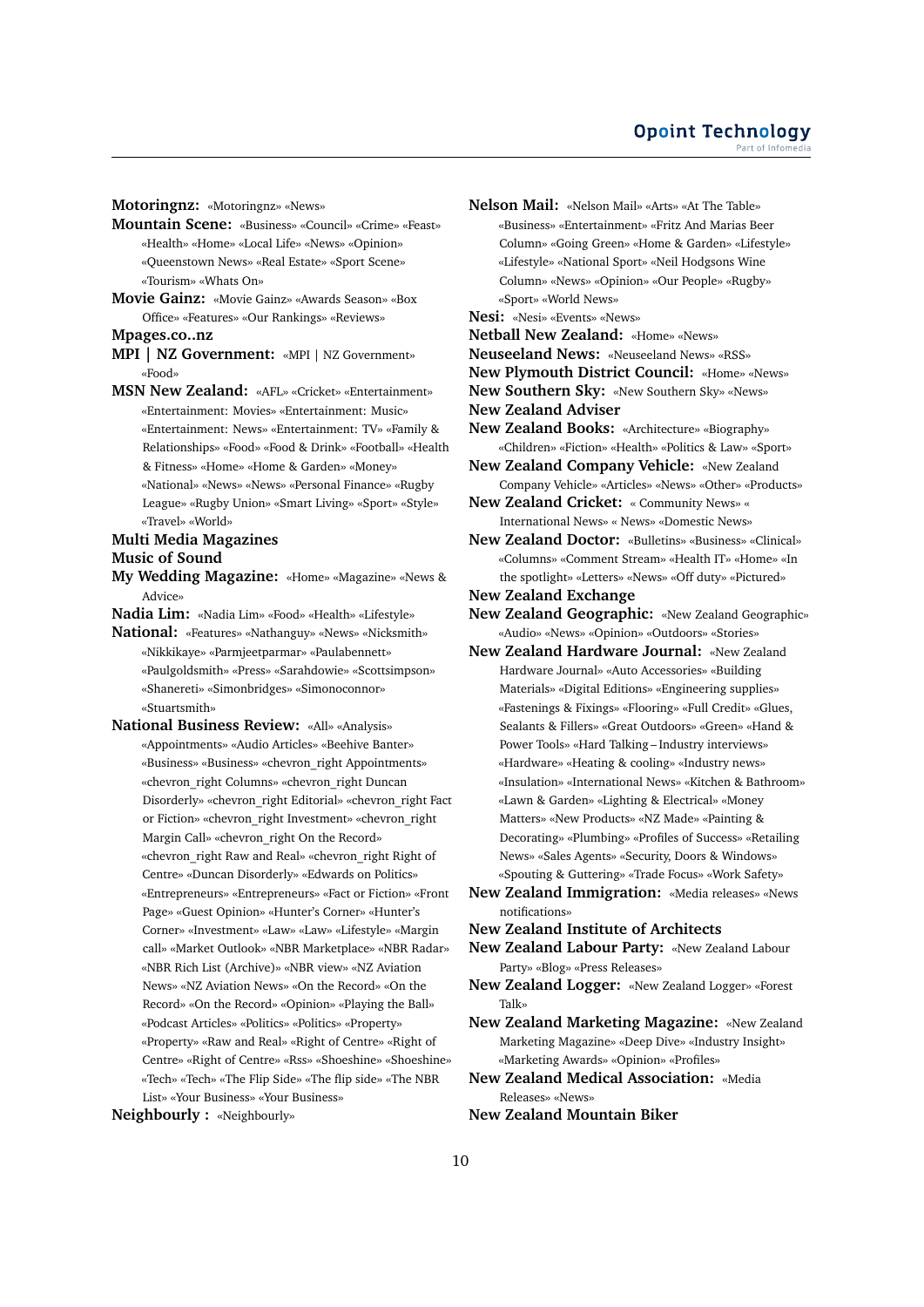**Motoringnz:** «Motoringnz» «News»

- **Mountain Scene:** «Business» «Council» «Crime» «Feast» «Health» «Home» «Local Life» «News» «Opinion» «Queenstown News» «Real Estate» «Sport Scene» «Tourism» «Whats On»
- **Movie Gainz:** «Movie Gainz» «Awards Season» «Box Office» «Features» «Our Rankings» «Reviews»
- **Mpages.co..nz**
- **MPI | NZ Government:** «MPI | NZ Government» «Food»
- **MSN New Zealand:** «AFL» «Cricket» «Entertainment» «Entertainment: Movies» «Entertainment: Music» «Entertainment: News» «Entertainment: TV» «Family & Relationships» «Food» «Food & Drink» «Football» «Health & Fitness» «Home» «Home & Garden» «Money» «National» «News» «News» «Personal Finance» «Rugby League» «Rugby Union» «Smart Living» «Sport» «Style» «Travel» «World»

#### **Multi Media Magazines**

#### **Music of Sound**

- **My Wedding Magazine:** «Home» «Magazine» «News & Advice»
- **Nadia Lim:** «Nadia Lim» «Food» «Health» «Lifestyle»
- **National:** «Features» «Nathanguy» «News» «Nicksmith» «Nikkikaye» «Parmjeetparmar» «Paulabennett» «Paulgoldsmith» «Press» «Sarahdowie» «Scottsimpson» «Shanereti» «Simonbridges» «Simonoconnor» «Stuartsmith»
- **National Business Review:** «All» «Analysis» «Appointments» «Audio Articles» «Beehive Banter» «Business» «Business» «chevron\_right Appointments» «chevron\_right Columns» «chevron\_right Duncan Disorderly» «chevron\_right Editorial» «chevron\_right Fact or Fiction» «chevron\_right Investment» «chevron\_right Margin Call» «chevron\_right On the Record» «chevron\_right Raw and Real» «chevron\_right Right of Centre» «Duncan Disorderly» «Edwards on Politics» «Entrepreneurs» «Entrepreneurs» «Fact or Fiction» «Front Page» «Guest Opinion» «Hunter's Corner» «Hunter's Corner» «Investment» «Law» «Law» «Lifestyle» «Margin call» «Market Outlook» «NBR Marketplace» «NBR Radar» «NBR Rich List (Archive)» «NBR view» «NZ Aviation News» «NZ Aviation News» «On the Record» «On the Record» «On the Record» «Opinion» «Playing the Ball» «Podcast Articles» «Politics» «Politics» «Property» «Property» «Raw and Real» «Right of Centre» «Right of Centre» «Right of Centre» «Rss» «Shoeshine» «Shoeshine» «Tech» «Tech» «The Flip Side» «The flip side» «The NBR List» «Your Business» «Your Business»
- **Neighbourly :** «Neighbourly»
- **Nelson Mail:** «Nelson Mail» «Arts» «At The Table» «Business» «Entertainment» «Fritz And Marias Beer Column» «Going Green» «Home & Garden» «Lifestyle» «Lifestyle» «National Sport» «Neil Hodgsons Wine Column» «News» «Opinion» «Our People» «Rugby» «Sport» «World News»
- **Nesi:** «Nesi» «Events» «News»
- **Netball New Zealand:** «Home» «News»
- **Neuseeland News:** «Neuseeland News» «RSS»
- **New Plymouth District Council:** «Home» «News»
- **New Southern Sky:** «New Southern Sky» «News»
- **New Zealand Adviser**
- **New Zealand Books:** «Architecture» «Biography» «Children» «Fiction» «Health» «Politics & Law» «Sport»
- **New Zealand Company Vehicle:** «New Zealand Company Vehicle» «Articles» «News» «Other» «Products»
- **New Zealand Cricket:** « Community News» « International News» « News» «Domestic News»
- **New Zealand Doctor:** «Bulletins» «Business» «Clinical» «Columns» «Comment Stream» «Health IT» «Home» «In the spotlight» «Letters» «News» «Off duty» «Pictured»

**New Zealand Exchange**

- **New Zealand Geographic:** «New Zealand Geographic» «Audio» «News» «Opinion» «Outdoors» «Stories»
- **New Zealand Hardware Journal:** «New Zealand Hardware Journal» «Auto Accessories» «Building Materials» «Digital Editions» «Engineering supplies» «Fastenings & Fixings» «Flooring» «Full Credit» «Glues, Sealants & Fillers» «Great Outdoors» «Green» «Hand & Power Tools» «Hard Talking – Industry interviews» «Hardware» «Heating & cooling» «Industry news» «Insulation» «International News» «Kitchen & Bathroom» «Lawn & Garden» «Lighting & Electrical» «Money Matters» «New Products» «NZ Made» «Painting & Decorating» «Plumbing» «Profiles of Success» «Retailing News» «Sales Agents» «Security, Doors & Windows» «Spouting & Guttering» «Trade Focus» «Work Safety»
- **New Zealand Immigration:** «Media releases» «News notifications»
- **New Zealand Institute of Architects**
- **New Zealand Labour Party:** «New Zealand Labour Party» «Blog» «Press Releases»
- **New Zealand Logger:** «New Zealand Logger» «Forest Talk»
- **New Zealand Marketing Magazine:** «New Zealand Marketing Magazine» «Deep Dive» «Industry Insight» «Marketing Awards» «Opinion» «Profiles»
- **New Zealand Medical Association:** «Media Releases» «News»
- **New Zealand Mountain Biker**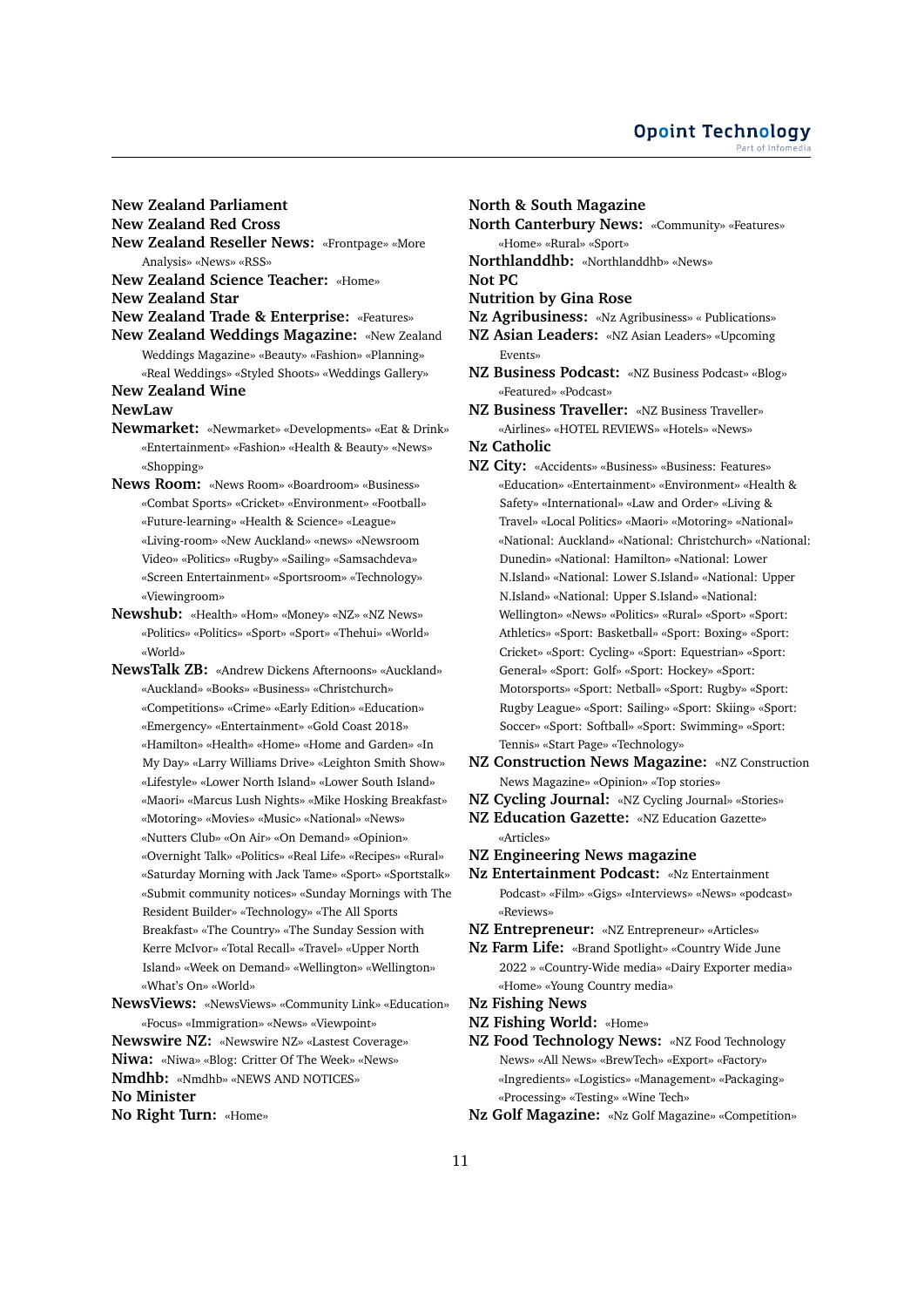## **New Zealand Parliament**

**New Zealand Red Cross**

**New Zealand Reseller News:** «Frontpage» «More Analysis» «News» «RSS»

**New Zealand Science Teacher:** «Home»

**New Zealand Star**

- **New Zealand Trade & Enterprise:** «Features»
- **New Zealand Weddings Magazine:** «New Zealand Weddings Magazine» «Beauty» «Fashion» «Planning» «Real Weddings» «Styled Shoots» «Weddings Gallery»

**New Zealand Wine**

#### **NewLaw**

- **Newmarket:** «Newmarket» «Developments» «Eat & Drink» «Entertainment» «Fashion» «Health & Beauty» «News» «Shopping»
- **News Room:** «News Room» «Boardroom» «Business» «Combat Sports» «Cricket» «Environment» «Football» «Future-learning» «Health & Science» «League» «Living-room» «New Auckland» «news» «Newsroom Video» «Politics» «Rugby» «Sailing» «Samsachdeva» «Screen Entertainment» «Sportsroom» «Technology» «Viewingroom»
- **Newshub:** «Health» «Hom» «Money» «NZ» «NZ News» «Politics» «Politics» «Sport» «Sport» «Thehui» «World» «World»
- **NewsTalk ZB:** «Andrew Dickens Afternoons» «Auckland» «Auckland» «Books» «Business» «Christchurch» «Competitions» «Crime» «Early Edition» «Education» «Emergency» «Entertainment» «Gold Coast 2018» «Hamilton» «Health» «Home» «Home and Garden» «In My Day» «Larry Williams Drive» «Leighton Smith Show» «Lifestyle» «Lower North Island» «Lower South Island» «Maori» «Marcus Lush Nights» «Mike Hosking Breakfast» «Motoring» «Movies» «Music» «National» «News» «Nutters Club» «On Air» «On Demand» «Opinion» «Overnight Talk» «Politics» «Real Life» «Recipes» «Rural» «Saturday Morning with Jack Tame» «Sport» «Sportstalk» «Submit community notices» «Sunday Mornings with The Resident Builder» «Technology» «The All Sports Breakfast» «The Country» «The Sunday Session with Kerre McIvor» «Total Recall» «Travel» «Upper North Island» «Week on Demand» «Wellington» «Wellington» «What's On» «World»

**NewsViews:** «NewsViews» «Community Link» «Education» «Focus» «Immigration» «News» «Viewpoint»

**Newswire NZ:** «Newswire NZ» «Lastest Coverage» **Niwa:** «Niwa» «Blog: Critter Of The Week» «News» **Nmdhb:** «Nmdhb» «NEWS AND NOTICES»

**No Minister**

**No Right Turn:** «Home»

## **North & South Magazine**

**North Canterbury News:** «Community» «Features» «Home» «Rural» «Sport»

**Northlanddhb:** «Northlanddhb» «News»

**Not PC**

- **Nutrition by Gina Rose**
- **Nz Agribusiness:** «Nz Agribusiness» « Publications»
- **NZ Asian Leaders:** «NZ Asian Leaders» «Upcoming Events»
- **NZ Business Podcast:** «NZ Business Podcast» «Blog» «Featured» «Podcast»

**NZ Business Traveller:** «NZ Business Traveller» «Airlines» «HOTEL REVIEWS» «Hotels» «News»

- **Nz Catholic**
- **NZ City:** «Accidents» «Business» «Business: Features» «Education» «Entertainment» «Environment» «Health & Safety» «International» «Law and Order» «Living & Travel» «Local Politics» «Maori» «Motoring» «National» «National: Auckland» «National: Christchurch» «National: Dunedin» «National: Hamilton» «National: Lower N.Island» «National: Lower S.Island» «National: Upper N.Island» «National: Upper S.Island» «National: Wellington» «News» «Politics» «Rural» «Sport» «Sport: Athletics» «Sport: Basketball» «Sport: Boxing» «Sport: Cricket» «Sport: Cycling» «Sport: Equestrian» «Sport: General» «Sport: Golf» «Sport: Hockey» «Sport: Motorsports» «Sport: Netball» «Sport: Rugby» «Sport: Rugby League» «Sport: Sailing» «Sport: Skiing» «Sport: Soccer» «Sport: Softball» «Sport: Swimming» «Sport: Tennis» «Start Page» «Technology»
- **NZ Construction News Magazine:** «NZ Construction News Magazine» «Opinion» «Top stories»
- **NZ Cycling Journal:** «NZ Cycling Journal» «Stories»
- **NZ Education Gazette:** «NZ Education Gazette» «Articles»
- **NZ Engineering News magazine**
- **Nz Entertainment Podcast:** «Nz Entertainment Podcast» «Film» «Gigs» «Interviews» «News» «podcast» «Reviews»
- **NZ Entrepreneur:** «NZ Entrepreneur» «Articles»
- **Nz Farm Life:** «Brand Spotlight» «Country Wide June 2022 » «Country-Wide media» «Dairy Exporter media» «Home» «Young Country media»
- **Nz Fishing News**
- **NZ Fishing World:** «Home»
- **NZ Food Technology News:** «NZ Food Technology News» «All News» «BrewTech» «Export» «Factory» «Ingredients» «Logistics» «Management» «Packaging» «Processing» «Testing» «Wine Tech»
- **Nz Golf Magazine:** «Nz Golf Magazine» «Competition»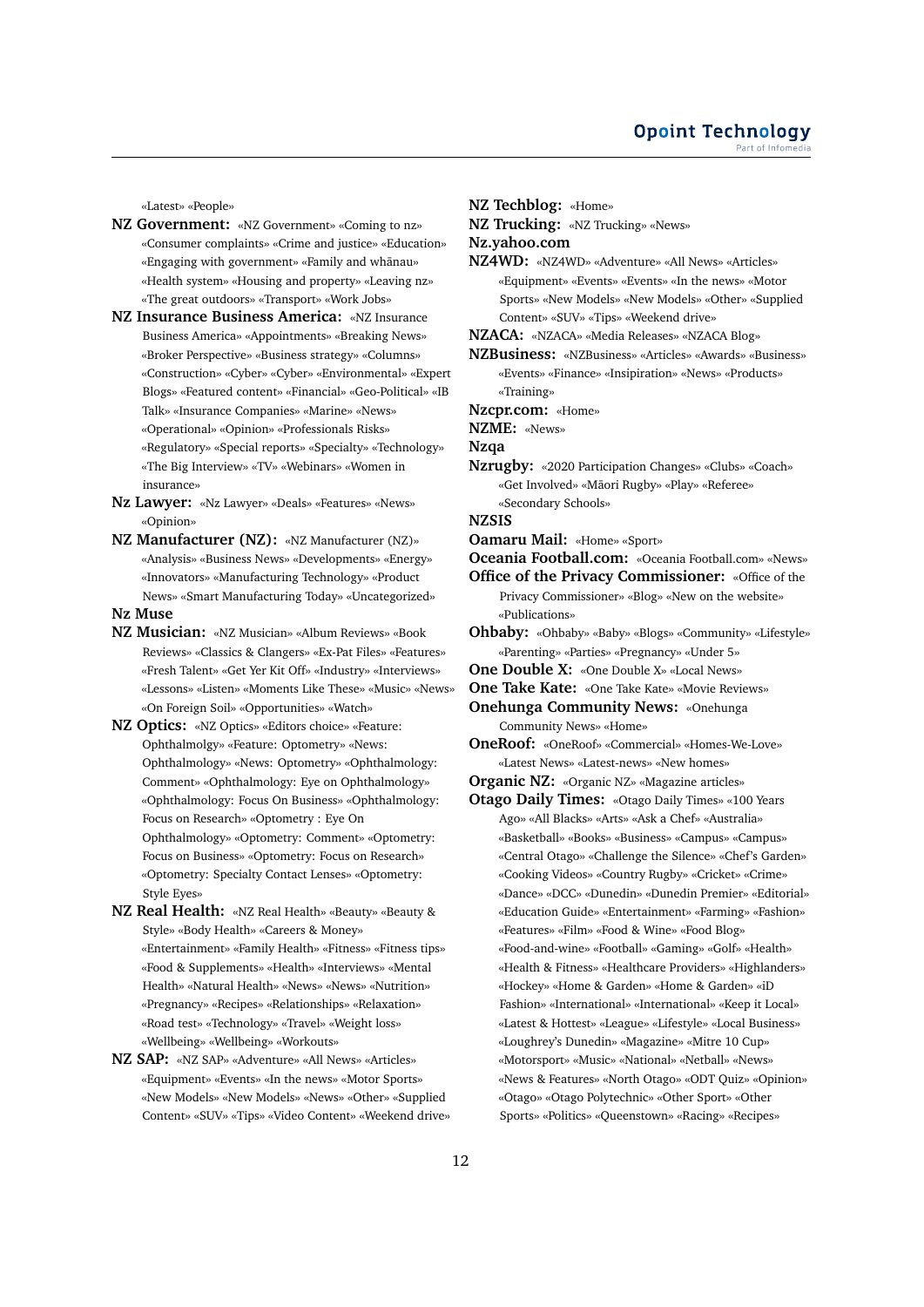«Latest» «People»

- **NZ Government:** «NZ Government» «Coming to nz» «Consumer complaints» «Crime and justice» «Education» «Engaging with government» «Family and whānau» «Health system» «Housing and property» «Leaving nz» «The great outdoors» «Transport» «Work Jobs»
- **NZ Insurance Business America:** «NZ Insurance Business America» «Appointments» «Breaking News» «Broker Perspective» «Business strategy» «Columns» «Construction» «Cyber» «Cyber» «Environmental» «Expert Blogs» «Featured content» «Financial» «Geo-Political» «IB Talk» «Insurance Companies» «Marine» «News» «Operational» «Opinion» «Professionals Risks» «Regulatory» «Special reports» «Specialty» «Technology» «The Big Interview» «TV» «Webinars» «Women in insurance»
- **Nz Lawyer:** «Nz Lawyer» «Deals» «Features» «News» «Opinion»
- **NZ Manufacturer (NZ):** «NZ Manufacturer (NZ)» «Analysis» «Business News» «Developments» «Energy» «Innovators» «Manufacturing Technology» «Product News» «Smart Manufacturing Today» «Uncategorized»

## **Nz Muse**

- **NZ Musician:** «NZ Musician» «Album Reviews» «Book Reviews» «Classics & Clangers» «Ex-Pat Files» «Features» «Fresh Talent» «Get Yer Kit Off» «Industry» «Interviews» «Lessons» «Listen» «Moments Like These» «Music» «News» «On Foreign Soil» «Opportunities» «Watch»
- **NZ Optics:** «NZ Optics» «Editors choice» «Feature: Ophthalmolgy» «Feature: Optometry» «News: Ophthalmology» «News: Optometry» «Ophthalmology: Comment» «Ophthalmology: Eye on Ophthalmology» «Ophthalmology: Focus On Business» «Ophthalmology: Focus on Research» «Optometry : Eye On Ophthalmology» «Optometry: Comment» «Optometry: Focus on Business» «Optometry: Focus on Research» «Optometry: Specialty Contact Lenses» «Optometry: Style Eyes»
- **NZ Real Health:** «NZ Real Health» «Beauty» «Beauty & Style» «Body Health» «Careers & Money» «Entertainment» «Family Health» «Fitness» «Fitness tips» «Food & Supplements» «Health» «Interviews» «Mental Health» «Natural Health» «News» «News» «Nutrition» «Pregnancy» «Recipes» «Relationships» «Relaxation» «Road test» «Technology» «Travel» «Weight loss» «Wellbeing» «Wellbeing» «Workouts»
- **NZ SAP:** «NZ SAP» «Adventure» «All News» «Articles» «Equipment» «Events» «In the news» «Motor Sports» «New Models» «New Models» «News» «Other» «Supplied Content» «SUV» «Tips» «Video Content» «Weekend drive»
- **NZ Techblog:** «Home»
- **NZ Trucking:** «NZ Trucking» «News»

**Nz.yahoo.com**

- **NZ4WD:** «NZ4WD» «Adventure» «All News» «Articles» «Equipment» «Events» «Events» «In the news» «Motor Sports» «New Models» «New Models» «Other» «Supplied Content» «SUV» «Tips» «Weekend drive»
- **NZACA:** «NZACA» «Media Releases» «NZACA Blog»
- **NZBusiness:** «NZBusiness» «Articles» «Awards» «Business» «Events» «Finance» «Insipiration» «News» «Products» «Training»
- **Nzcpr.com:** «Home»
- **NZME:** «News»
- **Nzqa**
- **Nzrugby:** «2020 Participation Changes» «Clubs» «Coach» «Get Involved» «Māori Rugby» «Play» «Referee» «Secondary Schools»
- **NZSIS**
- **Oamaru Mail:** «Home» «Sport»
- **Oceania Football.com:** «Oceania Football.com» «News»

**Office of the Privacy Commissioner:** «Office of the Privacy Commissioner» «Blog» «New on the website» «Publications»

- **Ohbaby:** «Ohbaby» «Baby» «Blogs» «Community» «Lifestyle» «Parenting» «Parties» «Pregnancy» «Under 5»
- **One Double X:** «One Double X» «Local News»
- **One Take Kate:** «One Take Kate» «Movie Reviews»

**Onehunga Community News:** «Onehunga Community News» «Home»

- **OneRoof:** «OneRoof» «Commercial» «Homes-We-Love» «Latest News» «Latest-news» «New homes»
- **Organic NZ:** «Organic NZ» «Magazine articles»
- **Otago Daily Times:** «Otago Daily Times» «100 Years Ago» «All Blacks» «Arts» «Ask a Chef» «Australia» «Basketball» «Books» «Business» «Campus» «Campus» «Central Otago» «Challenge the Silence» «Chef's Garden» «Cooking Videos» «Country Rugby» «Cricket» «Crime» «Dance» «DCC» «Dunedin» «Dunedin Premier» «Editorial» «Education Guide» «Entertainment» «Farming» «Fashion» «Features» «Film» «Food & Wine» «Food Blog» «Food-and-wine» «Football» «Gaming» «Golf» «Health» «Health & Fitness» «Healthcare Providers» «Highlanders» «Hockey» «Home & Garden» «Home & Garden» «iD Fashion» «International» «International» «Keep it Local» «Latest & Hottest» «League» «Lifestyle» «Local Business» «Loughrey's Dunedin» «Magazine» «Mitre 10 Cup» «Motorsport» «Music» «National» «Netball» «News» «News & Features» «North Otago» «ODT Quiz» «Opinion» «Otago» «Otago Polytechnic» «Other Sport» «Other Sports» «Politics» «Queenstown» «Racing» «Recipes»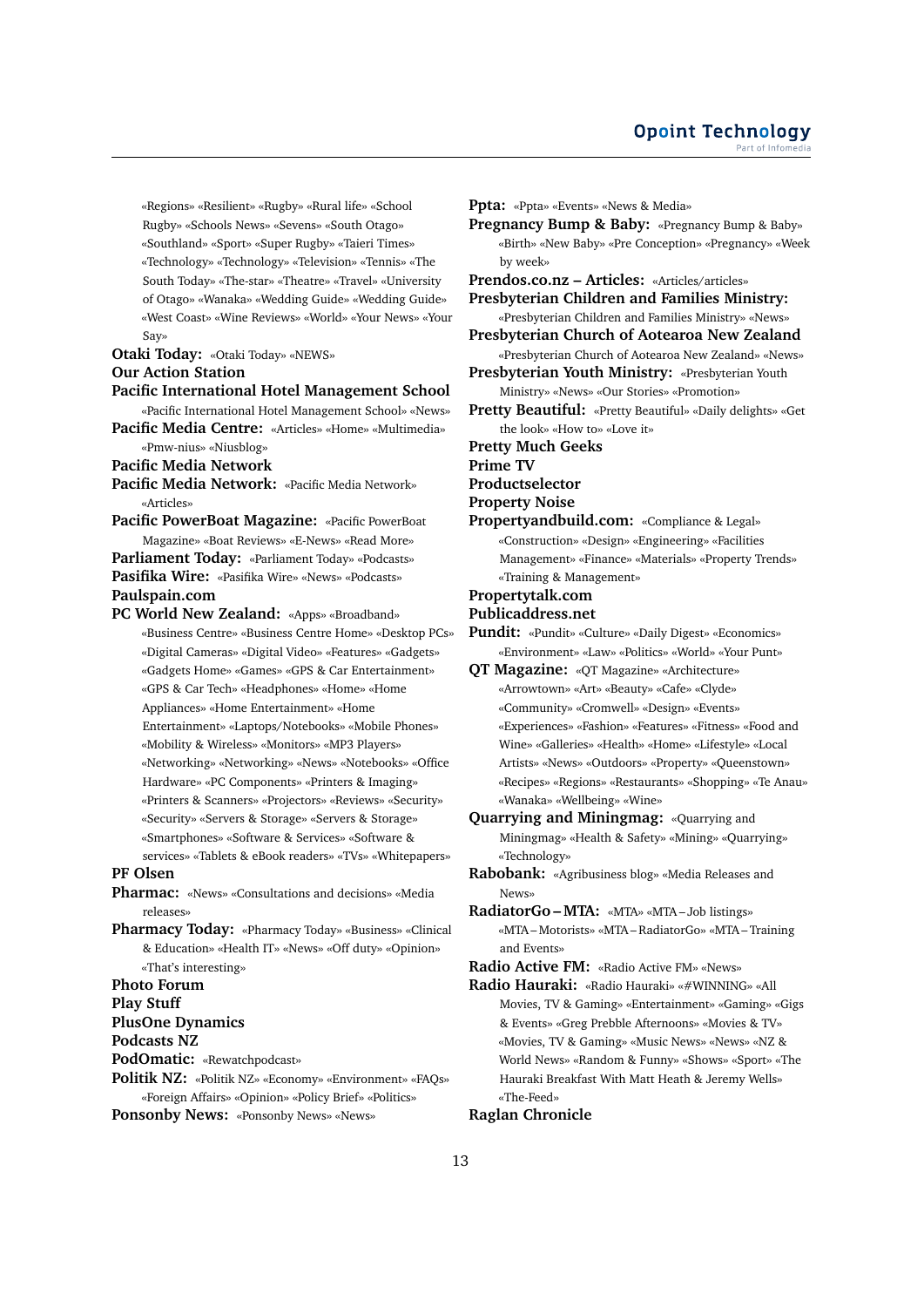«Regions» «Resilient» «Rugby» «Rural life» «School Rugby» «Schools News» «Sevens» «South Otago» «Southland» «Sport» «Super Rugby» «Taieri Times» «Technology» «Technology» «Television» «Tennis» «The South Today» «The-star» «Theatre» «Travel» «University of Otago» «Wanaka» «Wedding Guide» «Wedding Guide» «West Coast» «Wine Reviews» «World» «Your News» «Your Say»

# **Otaki Today:** «Otaki Today» «NEWS»

### **Our Action Station**

# **Pacific International Hotel Management School**

«Pacific International Hotel Management School» «News» **Pacific Media Centre:** «Articles» «Home» «Multimedia» «Pmw-nius» «Niusblog»

- **Pacific Media Network**
- **Pacific Media Network:** «Pacific Media Network» «Articles»

**Pacific PowerBoat Magazine:** «Pacific PowerBoat Magazine» «Boat Reviews» «E-News» «Read More» **Parliament Today:** «Parliament Today» «Podcasts» **Pasifika Wire:** «Pasifika Wire» «News» «Podcasts» **Paulspain.com**

**PC World New Zealand:** «Apps» «Broadband» «Business Centre» «Business Centre Home» «Desktop PCs» «Digital Cameras» «Digital Video» «Features» «Gadgets» «Gadgets Home» «Games» «GPS & Car Entertainment» «GPS & Car Tech» «Headphones» «Home» «Home Appliances» «Home Entertainment» «Home Entertainment» «Laptops/Notebooks» «Mobile Phones» «Mobility & Wireless» «Monitors» «MP3 Players» «Networking» «Networking» «News» «Notebooks» «Office Hardware» «PC Components» «Printers & Imaging» «Printers & Scanners» «Projectors» «Reviews» «Security» «Security» «Servers & Storage» «Servers & Storage» «Smartphones» «Software & Services» «Software & services» «Tablets & eBook readers» «TVs» «Whitepapers»

**PF Olsen**

- **Pharmac:** «News» «Consultations and decisions» «Media releases»
- **Pharmacy Today:** «Pharmacy Today» «Business» «Clinical & Education» «Health IT» «News» «Off duty» «Opinion» «That's interesting»

**Photo Forum**

**Play Stuff**

```
PlusOne Dynamics
```
**Podcasts NZ**

**PodOmatic:** «Rewatchpodcast»

**Politik NZ:** «Politik NZ» «Economy» «Environment» «FAQs» «Foreign Affairs» «Opinion» «Policy Brief» «Politics»

**Ponsonby News:** «Ponsonby News» «News»

**Ppta:** «Ppta» «Events» «News & Media» **Pregnancy Bump & Baby:** «Pregnancy Bump & Baby» «Birth» «New Baby» «Pre Conception» «Pregnancy» «Week by week» **Prendos.co.nz – Articles:** «Articles/articles» **Presbyterian Children and Families Ministry:** «Presbyterian Children and Families Ministry» «News» **Presbyterian Church of Aotearoa New Zealand** «Presbyterian Church of Aotearoa New Zealand» «News» **Presbyterian Youth Ministry:** «Presbyterian Youth Ministry» «News» «Our Stories» «Promotion» **Pretty Beautiful:** «Pretty Beautiful» «Daily delights» «Get the look» «How to» «Love it» **Pretty Much Geeks Prime TV Productselector Property Noise Propertyandbuild.com:** «Compliance & Legal» «Construction» «Design» «Engineering» «Facilities Management» «Finance» «Materials» «Property Trends» «Training & Management» **Propertytalk.com Publicaddress.net Pundit:** «Pundit» «Culture» «Daily Digest» «Economics» «Environment» «Law» «Politics» «World» «Your Punt» **QT Magazine:** «QT Magazine» «Architecture» «Arrowtown» «Art» «Beauty» «Cafe» «Clyde» «Community» «Cromwell» «Design» «Events» «Experiences» «Fashion» «Features» «Fitness» «Food and Wine» «Galleries» «Health» «Home» «Lifestyle» «Local Artists» «News» «Outdoors» «Property» «Queenstown» «Recipes» «Regions» «Restaurants» «Shopping» «Te Anau» «Wanaka» «Wellbeing» «Wine» **Quarrying and Miningmag:** «Quarrying and Miningmag» «Health & Safety» «Mining» «Quarrying» «Technology»

- **Rabobank:** «Agribusiness blog» «Media Releases and News»
- **RadiatorGo MTA:** «MTA» «MTA Job listings» «MTA – Motorists» «MTA – RadiatorGo» «MTA – Training and Events»

**Radio Active FM:** «Radio Active FM» «News»

**Radio Hauraki:** «Radio Hauraki» «#WINNING» «All Movies, TV & Gaming» «Entertainment» «Gaming» «Gigs & Events» «Greg Prebble Afternoons» «Movies & TV» «Movies, TV & Gaming» «Music News» «News» «NZ & World News» «Random & Funny» «Shows» «Sport» «The Hauraki Breakfast With Matt Heath & Jeremy Wells» «The-Feed»

## **Raglan Chronicle**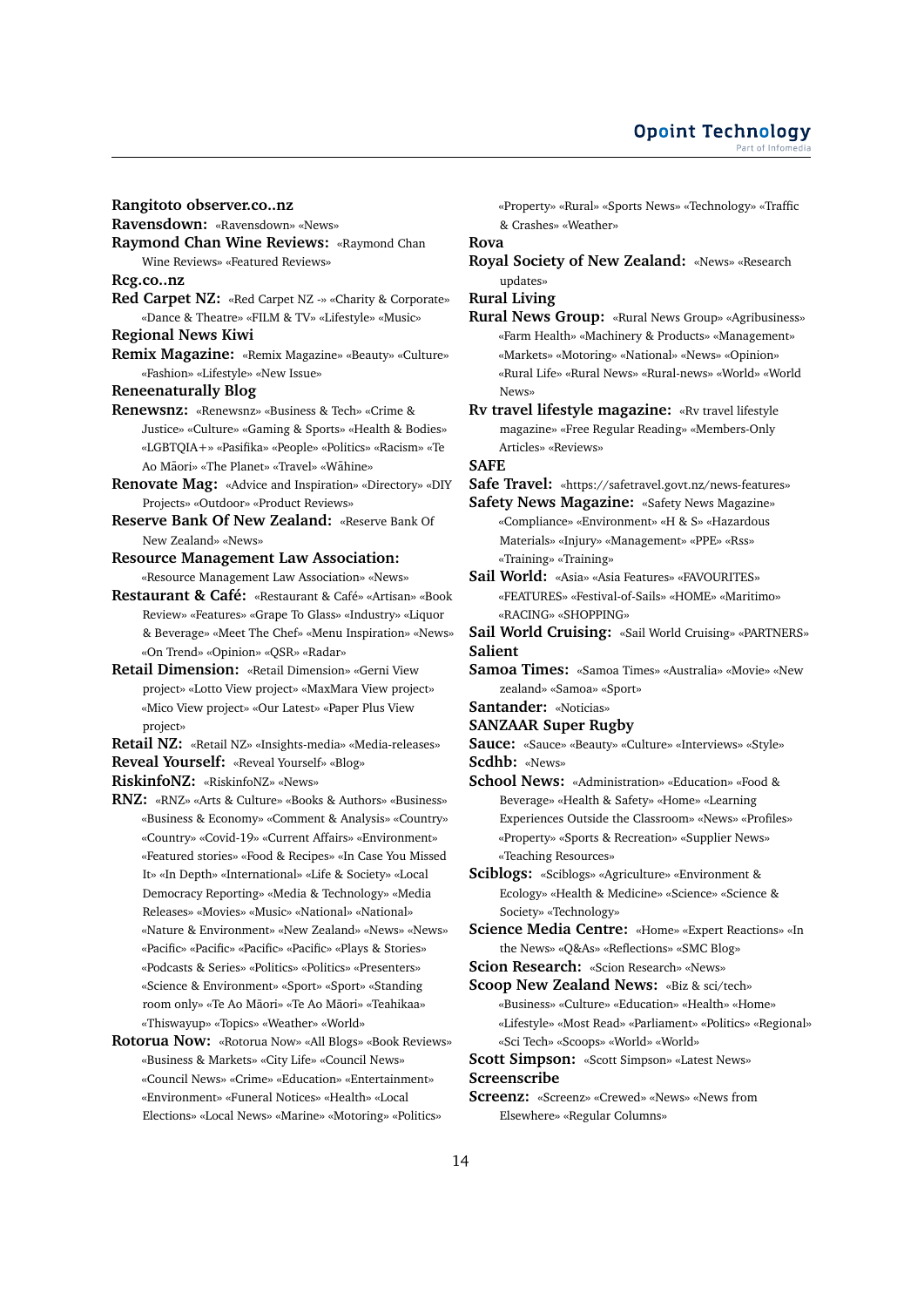**Rangitoto observer.co..nz**

**Ravensdown:** «Ravensdown» «News»

**Raymond Chan Wine Reviews: «Raymond Chan** Wine Reviews» «Featured Reviews»

**Rcg.co..nz**

- **Red Carpet NZ:** «Red Carpet NZ -» «Charity & Corporate» «Dance & Theatre» «FILM & TV» «Lifestyle» «Music»
- **Regional News Kiwi**
- **Remix Magazine:** «Remix Magazine» «Beauty» «Culture» «Fashion» «Lifestyle» «New Issue»

**Reneenaturally Blog**

- **Renewsnz:** «Renewsnz» «Business & Tech» «Crime & Justice» «Culture» «Gaming & Sports» «Health & Bodies» «LGBTQIA+» «Pasifika» «People» «Politics» «Racism» «Te Ao Māori» «The Planet» «Travel» «Wāhine»
- **Renovate Mag:** «Advice and Inspiration» «Directory» «DIY Projects» «Outdoor» «Product Reviews»
- **Reserve Bank Of New Zealand:** «Reserve Bank Of New Zealand» «News»
- **Resource Management Law Association:** «Resource Management Law Association» «News»
- **Restaurant & Café:** «Restaurant & Café» «Artisan» «Book Review» «Features» «Grape To Glass» «Industry» «Liquor & Beverage» «Meet The Chef» «Menu Inspiration» «News» «On Trend» «Opinion» «QSR» «Radar»
- **Retail Dimension:** «Retail Dimension» «Gerni View project» «Lotto View project» «MaxMara View project» «Mico View project» «Our Latest» «Paper Plus View project»
- **Retail NZ:** «Retail NZ» «Insights-media» «Media-releases» **Reveal Yourself:** «Reveal Yourself» «Blog»

**RiskinfoNZ:** «RiskinfoNZ» «News»

- **RNZ:** «RNZ» «Arts & Culture» «Books & Authors» «Business» «Business & Economy» «Comment & Analysis» «Country» «Country» «Covid-19» «Current Affairs» «Environment» «Featured stories» «Food & Recipes» «In Case You Missed It» «In Depth» «International» «Life & Society» «Local Democracy Reporting» «Media & Technology» «Media Releases» «Movies» «Music» «National» «National» «Nature & Environment» «New Zealand» «News» «News» «Pacific» «Pacific» «Pacific» «Pacific» «Plays & Stories» «Podcasts & Series» «Politics» «Politics» «Presenters» «Science & Environment» «Sport» «Sport» «Standing room only» «Te Ao Māori» «Te Ao Māori» «Teahikaa» «Thiswayup» «Topics» «Weather» «World»
- **Rotorua Now:** «Rotorua Now» «All Blogs» «Book Reviews» «Business & Markets» «City Life» «Council News» «Council News» «Crime» «Education» «Entertainment» «Environment» «Funeral Notices» «Health» «Local Elections» «Local News» «Marine» «Motoring» «Politics»

«Property» «Rural» «Sports News» «Technology» «Traffic & Crashes» «Weather»

**Rova**

**Royal Society of New Zealand:** «News» «Research updates»

**Rural Living**

**Rural News Group:** «Rural News Group» «Agribusiness» «Farm Health» «Machinery & Products» «Management» «Markets» «Motoring» «National» «News» «Opinion» «Rural Life» «Rural News» «Rural-news» «World» «World News»

**Rv travel lifestyle magazine:** «Rv travel lifestyle magazine» «Free Regular Reading» «Members-Only Articles» «Reviews»

**SAFE**

**Safe Travel:** «https://safetravel.govt.nz/news-features»

- **Safety News Magazine:** «Safety News Magazine» «Compliance» «Environment» «H & S» «Hazardous Materials» «Injury» «Management» «PPE» «Rss» «Training» «Training»
- **Sail World:** «Asia» «Asia Features» «FAVOURITES» «FEATURES» «Festival-of-Sails» «HOME» «Maritimo» «RACING» «SHOPPING»

**Sail World Cruising:** «Sail World Cruising» «PARTNERS» **Salient**

- **Samoa Times:** «Samoa Times» «Australia» «Movie» «New zealand» «Samoa» «Sport»
- **Santander:** «Noticias»
- **SANZAAR Super Rugby**

**Sauce:** «Sauce» «Beauty» «Culture» «Interviews» «Style» **Scdhb:** «News»

**School News:** «Administration» «Education» «Food & Beverage» «Health & Safety» «Home» «Learning Experiences Outside the Classroom» «News» «Profiles» «Property» «Sports & Recreation» «Supplier News» «Teaching Resources»

**Sciblogs:** «Sciblogs» «Agriculture» «Environment & Ecology» «Health & Medicine» «Science» «Science & Society» «Technology»

**Science Media Centre:** «Home» «Expert Reactions» «In the News» «Q&As» «Reflections» «SMC Blog»

**Scion Research:** «Scion Research» «News»

**Scoop New Zealand News:** «Biz & sci/tech» «Business» «Culture» «Education» «Health» «Home» «Lifestyle» «Most Read» «Parliament» «Politics» «Regional» «Sci Tech» «Scoops» «World» «World»

**Scott Simpson:** «Scott Simpson» «Latest News»

# **Screenscribe**

**Screenz:** «Screenz» «Crewed» «News» «News from Elsewhere» «Regular Columns»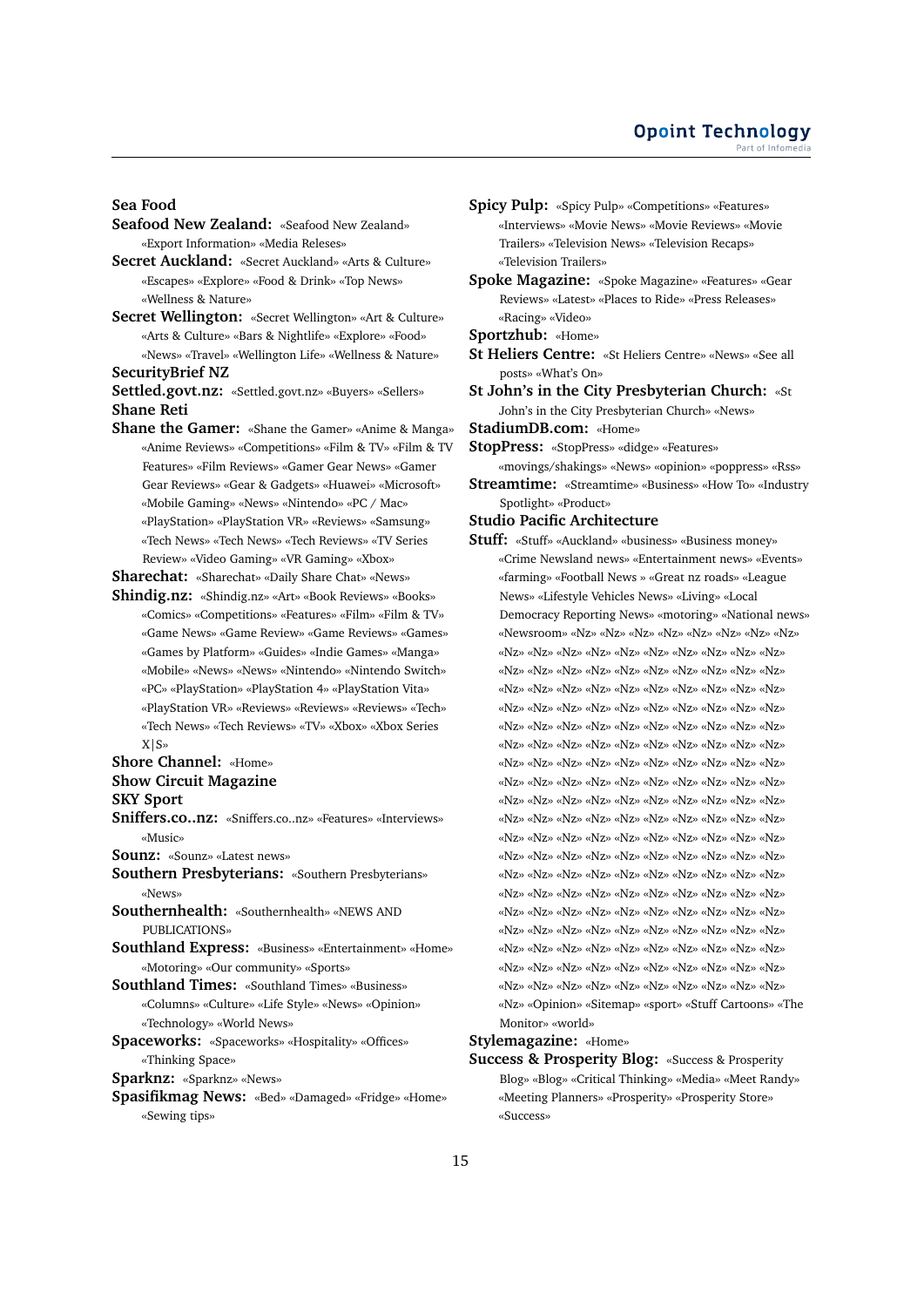#### **Sea Food**

- **Seafood New Zealand:** «Seafood New Zealand» «Export Information» «Media Releses»
- **Secret Auckland:** «Secret Auckland» «Arts & Culture» «Escapes» «Explore» «Food & Drink» «Top News» «Wellness & Nature»
- **Secret Wellington:** «Secret Wellington» «Art & Culture» «Arts & Culture» «Bars & Nightlife» «Explore» «Food» «News» «Travel» «Wellington Life» «Wellness & Nature» **SecurityBrief NZ**

**Settled.govt.nz:** «Settled.govt.nz» «Buyers» «Sellers» **Shane Reti**

**Shane the Gamer:** «Shane the Gamer» «Anime & Manga» «Anime Reviews» «Competitions» «Film & TV» «Film & TV Features» «Film Reviews» «Gamer Gear News» «Gamer Gear Reviews» «Gear & Gadgets» «Huawei» «Microsoft» «Mobile Gaming» «News» «Nintendo» «PC / Mac» «PlayStation» «PlayStation VR» «Reviews» «Samsung» «Tech News» «Tech News» «Tech Reviews» «TV Series Review» «Video Gaming» «VR Gaming» «Xbox»

**Sharechat:** «Sharechat» «Daily Share Chat» «News»

**Shindig.nz:** «Shindig.nz» «Art» «Book Reviews» «Books» «Comics» «Competitions» «Features» «Film» «Film & TV» «Game News» «Game Review» «Game Reviews» «Games» «Games by Platform» «Guides» «Indie Games» «Manga» «Mobile» «News» «News» «Nintendo» «Nintendo Switch» «PC» «PlayStation» «PlayStation 4» «PlayStation Vita» «PlayStation VR» «Reviews» «Reviews» «Reviews» «Tech» «Tech News» «Tech Reviews» «TV» «Xbox» «Xbox Series X|S»

# **Shore Channel:** «Home»

**Show Circuit Magazine**

# **SKY Sport**

**Sniffers.co..nz:** «Sniffers.co..nz» «Features» «Interviews» «Music»

**Sounz:** «Sounz» «Latest news»

**Southern Presbyterians:** «Southern Presbyterians» «News»

**Southernhealth:** «Southernhealth» «NEWS AND PUBLICATIONS»

**Southland Express:** «Business» «Entertainment» «Home» «Motoring» «Our community» «Sports»

**Southland Times:** «Southland Times» «Business» «Columns» «Culture» «Life Style» «News» «Opinion» «Technology» «World News»

**Spaceworks:** «Spaceworks» «Hospitality» «Offices» «Thinking Space»

**Sparknz:** «Sparknz» «News»

**Spasifikmag News:** «Bed» «Damaged» «Fridge» «Home» «Sewing tips»

- **Spicy Pulp:** «Spicy Pulp» «Competitions» «Features» «Interviews» «Movie News» «Movie Reviews» «Movie Trailers» «Television News» «Television Recaps» «Television Trailers»
- **Spoke Magazine:** «Spoke Magazine» «Features» «Gear Reviews» «Latest» «Places to Ride» «Press Releases» «Racing» «Video»

**Sportzhub:** «Home»

- **St Heliers Centre:** «St Heliers Centre» «News» «See all posts» «What's On»
- **St John's in the City Presbyterian Church:** «St John's in the City Presbyterian Church» «News»

**StadiumDB.com:** «Home»

**StopPress:** «StopPress» «didge» «Features»

«movings/shakings» «News» «opinion» «poppress» «Rss» **Streamtime:** «Streamtime» «Business» «How To» «Industry Spotlight» «Product»

- **Studio Pacific Architecture**
- **Stuff:** «Stuff» «Auckland» «business» «Business money» «Crime Newsland news» «Entertainment news» «Events» «farming» «Football News » «Great nz roads» «League News» «Lifestyle Vehicles News» «Living» «Local Democracy Reporting News» «motoring» «National news» «Newsroom» «Nz» «Nz» «Nz» «Nz» «Nz» «Nz» «Nz» «Nz» «Nz» «Nz» «Nz» «Nz» «Nz» «Nz» «Nz» «Nz» «Nz» «Nz» «Nz» «Nz» «Nz» «Nz» «Nz» «Nz» «Nz» «Nz» «Nz» «Nz» «Nz» «Nz» «Nz» «Nz» «Nz» «Nz» «Nz» «Nz» «Nz» «Nz» «Nz» «Nz» «Nz» «Nz» «Nz» «Nz» «Nz» «Nz» «Nz» «Nz» «Nz» «Nz» «Nz» «Nz» «Nz» «Nz» «Nz» «Nz» «Nz» «Nz» «Nz» «Nz» «Nz» «Nz» «Nz» «Nz» «Nz» «Nz» «Nz» «Nz» «Nz» «Nz» «Nz» «Nz» «Nz» «Nz» «Nz» «Nz» «Nz» «Nz» «Nz» «Nz» «Nz» «Nz» «Nz» «Nz» «Nz» «Nz» «Nz» «Nz» «Nz» «Nz» «Nz» «Nz» «Nz» «Nz» «Nz» «Nz» «Nz» «Nz» «Nz» «Nz» «Nz» «Nz» «Nz» «Nz» «Nz» «Nz» «Nz» «Nz» «Nz» «Nz» «Nz» «Nz» «Nz» «Nz» «Nz» «Nz» «Nz» «Nz» «Nz» «Nz» «Nz» «Nz» «Nz» «Nz» «Nz» «Nz» «Nz» «Nz» «Nz» «Nz» «Nz» «Nz» «Nz» «Nz» «Nz» «Nz» «Nz» «Nz» «Nz» «Nz» «Nz» «Nz» «Nz» «Nz» «Nz» «Nz» «Nz» «Nz» «Nz» «Nz» «Nz» «Nz» «Nz» «Nz» «Nz» «Nz» «Nz» «Nz» «Nz» «Nz» «Nz» «Nz» «Nz» «Nz» «Nz» «Nz» «Nz» «Nz» «Nz» «Nz» «Nz» «Nz» «Nz» «Nz» «Nz» «Nz» «Nz» «Nz» «Nz» «Nz» «Nz» «Nz» «Nz» «Nz» «Nz» «Nz» «Nz» «Nz» «Nz» «Nz» «Nz» «Nz» «Nz» «Nz» «Nz» «Nz» «Nz» «Nz» «Nz» «Opinion» «Sitemap» «sport» «Stuff Cartoons» «The Monitor» «world»

**Stylemagazine:** «Home»

**Success & Prosperity Blog:** «Success & Prosperity Blog» «Blog» «Critical Thinking» «Media» «Meet Randy» «Meeting Planners» «Prosperity» «Prosperity Store» «Success»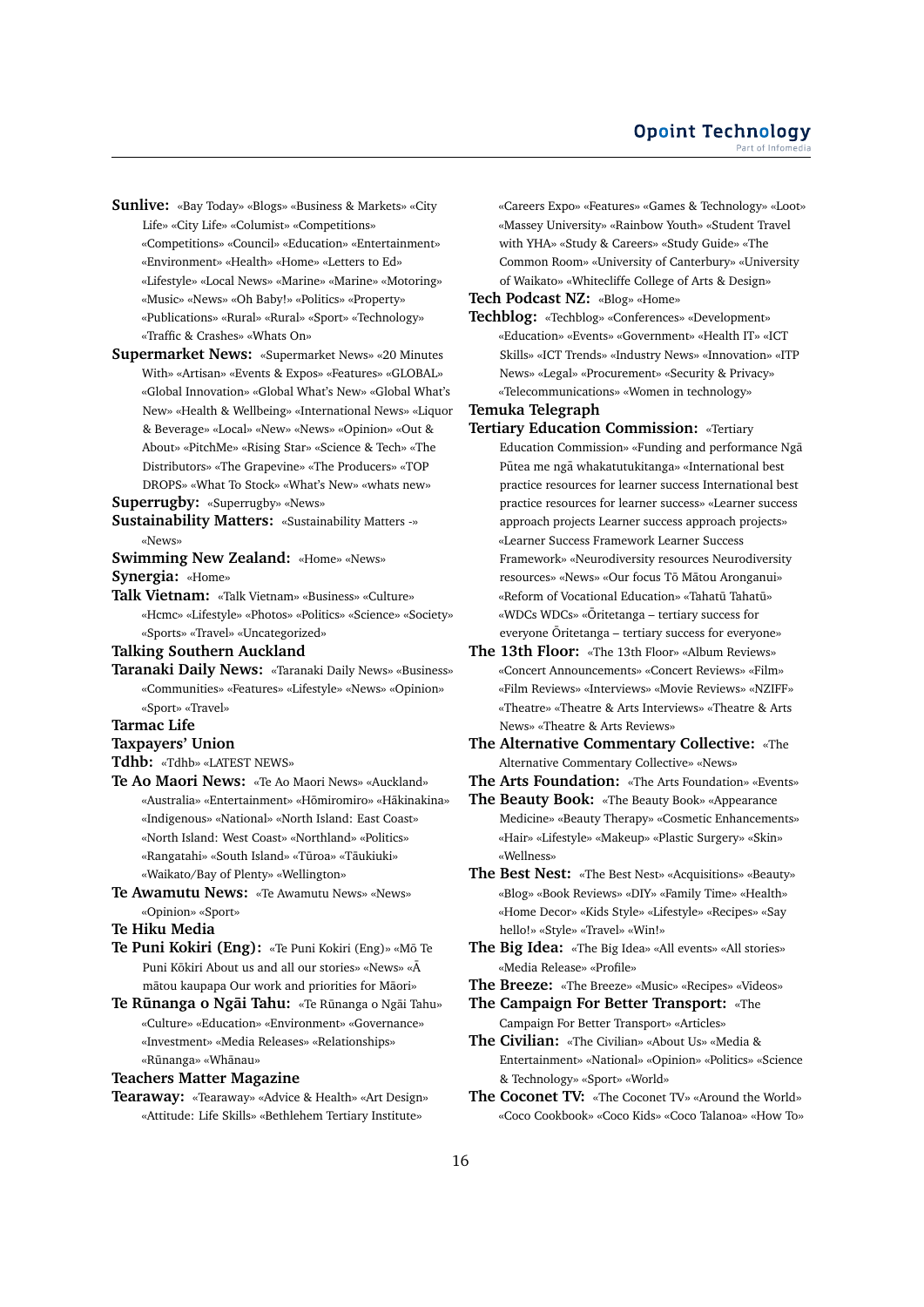- **Sunlive:** «Bay Today» «Blogs» «Business & Markets» «City Life» «City Life» «Columist» «Competitions» «Competitions» «Council» «Education» «Entertainment» «Environment» «Health» «Home» «Letters to Ed» «Lifestyle» «Local News» «Marine» «Marine» «Motoring» «Music» «News» «Oh Baby!» «Politics» «Property» «Publications» «Rural» «Rural» «Sport» «Technology» «Traffic & Crashes» «Whats On»
- **Supermarket News:** «Supermarket News» «20 Minutes With» «Artisan» «Events & Expos» «Features» «GLOBAL» «Global Innovation» «Global What's New» «Global What's New» «Health & Wellbeing» «International News» «Liquor & Beverage» «Local» «New» «News» «Opinion» «Out & About» «PitchMe» «Rising Star» «Science & Tech» «The Distributors» «The Grapevine» «The Producers» «TOP DROPS» «What To Stock» «What's New» «whats new»
- **Superrugby:** «Superrugby» «News»
- **Sustainability Matters:** «Sustainability Matters -» «News»
- **Swimming New Zealand:** «Home» «News» **Synergia:** «Home»
- **Talk Vietnam:** «Talk Vietnam» «Business» «Culture» «Hcmc» «Lifestyle» «Photos» «Politics» «Science» «Society» «Sports» «Travel» «Uncategorized»
- **Talking Southern Auckland**
- **Taranaki Daily News:** «Taranaki Daily News» «Business» «Communities» «Features» «Lifestyle» «News» «Opinion» «Sport» «Travel»
- **Tarmac Life**
- **Taxpayers' Union**
- **Tdhb:** «Tdhb» «LATEST NEWS»
- **Te Ao Maori News:** «Te Ao Maori News» «Auckland» «Australia» «Entertainment» «Hōmiromiro» «Hākinakina» «Indigenous» «National» «North Island: East Coast» «North Island: West Coast» «Northland» «Politics» «Rangatahi» «South Island» «Tūroa» «Tāukiuki» «Waikato/Bay of Plenty» «Wellington»
- **Te Awamutu News:** «Te Awamutu News» «News» «Opinion» «Sport»
- **Te Hiku Media**
- **Te Puni Kokiri (Eng):** «Te Puni Kokiri (Eng)» «Mō Te Puni Kōkiri About us and all our stories» «News» «Ā mātou kaupapa Our work and priorities for Māori»
- **Te Runanga o Ngai Tahu:** «Te Runanga o Ngai Tahu» «Culture» «Education» «Environment» «Governance» «Investment» «Media Releases» «Relationships» «Rūnanga» «Whānau»

## **Teachers Matter Magazine**

**Tearaway:** «Tearaway» «Advice & Health» «Art Design» «Attitude: Life Skills» «Bethlehem Tertiary Institute»

«Careers Expo» «Features» «Games & Technology» «Loot» «Massey University» «Rainbow Youth» «Student Travel with YHA» «Study & Careers» «Study Guide» «The Common Room» «University of Canterbury» «University of Waikato» «Whitecliffe College of Arts & Design»

# **Tech Podcast NZ:** «Blog» «Home»

**Techblog:** «Techblog» «Conferences» «Development» «Education» «Events» «Government» «Health IT» «ICT Skills» «ICT Trends» «Industry News» «Innovation» «ITP News» «Legal» «Procurement» «Security & Privacy» «Telecommunications» «Women in technology»

# **Temuka Telegraph**

- **Tertiary Education Commission:** «Tertiary Education Commission» «Funding and performance Nga¯ Pūtea me ngā whakatutukitanga» «International best practice resources for learner success International best practice resources for learner success» «Learner success approach projects Learner success approach projects» «Learner Success Framework Learner Success Framework» «Neurodiversity resources Neurodiversity resources» «News» «Our focus Tō Mātou Aronganui» «Reform of Vocational Education» «Tahatū Tahatū» «WDCs WDCs» «Oritetanga – tertiary success for ¯ everyone Oritetanga – tertiary success for everyone»
- **The 13th Floor:** «The 13th Floor» «Album Reviews» «Concert Announcements» «Concert Reviews» «Film» «Film Reviews» «Interviews» «Movie Reviews» «NZIFF» «Theatre» «Theatre & Arts Interviews» «Theatre & Arts News» «Theatre & Arts Reviews»
- **The Alternative Commentary Collective:** «The Alternative Commentary Collective» «News»
- **The Arts Foundation:** «The Arts Foundation» «Events»
- **The Beauty Book:** «The Beauty Book» «Appearance Medicine» «Beauty Therapy» «Cosmetic Enhancements» «Hair» «Lifestyle» «Makeup» «Plastic Surgery» «Skin» «Wellness»
- **The Best Nest:** «The Best Nest» «Acquisitions» «Beauty» «Blog» «Book Reviews» «DIY» «Family Time» «Health» «Home Decor» «Kids Style» «Lifestyle» «Recipes» «Say hello!» «Style» «Travel» «Win!»
- **The Big Idea:** «The Big Idea» «All events» «All stories» «Media Release» «Profile»
- **The Breeze:** «The Breeze» «Music» «Recipes» «Videos»
- **The Campaign For Better Transport:** «The Campaign For Better Transport» «Articles»
- **The Civilian:** «The Civilian» «About Us» «Media & Entertainment» «National» «Opinion» «Politics» «Science & Technology» «Sport» «World»
- **The Coconet TV:** «The Coconet TV» «Around the World» «Coco Cookbook» «Coco Kids» «Coco Talanoa» «How To»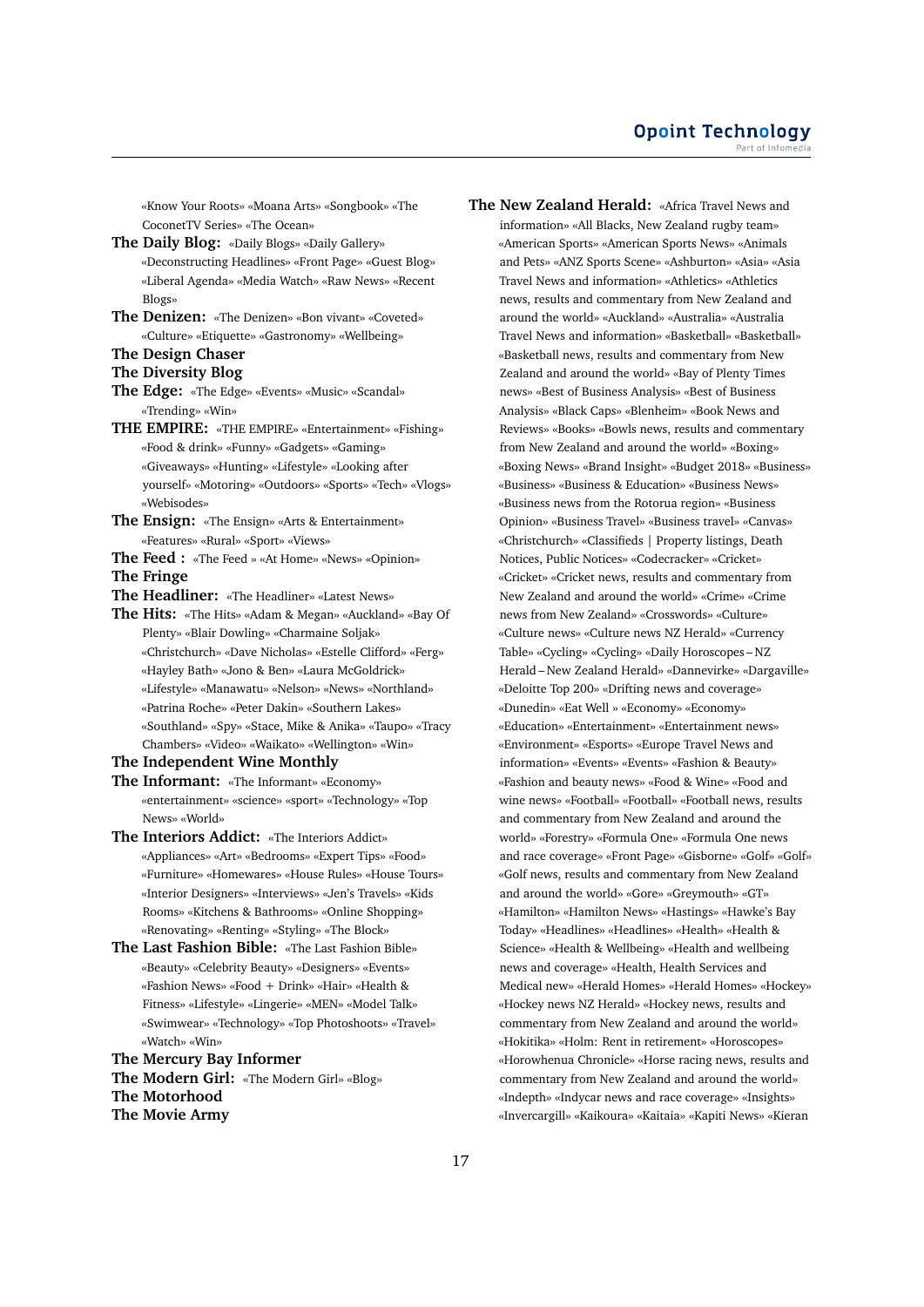«Know Your Roots» «Moana Arts» «Songbook» «The CoconetTV Series» «The Ocean»

- **The Daily Blog:** «Daily Blogs» «Daily Gallery» «Deconstructing Headlines» «Front Page» «Guest Blog» «Liberal Agenda» «Media Watch» «Raw News» «Recent Blogs»
- **The Denizen:** «The Denizen» «Bon vivant» «Coveted» «Culture» «Etiquette» «Gastronomy» «Wellbeing»
- **The Design Chaser**
- **The Diversity Blog**
- **The Edge:** «The Edge» «Events» «Music» «Scandal» «Trending» «Win»
- **THE EMPIRE:** «THE EMPIRE» «Entertainment» «Fishing» «Food & drink» «Funny» «Gadgets» «Gaming» «Giveaways» «Hunting» «Lifestyle» «Looking after yourself» «Motoring» «Outdoors» «Sports» «Tech» «Vlogs» «Webisodes»
- **The Ensign:** «The Ensign» «Arts & Entertainment» «Features» «Rural» «Sport» «Views»
- **The Feed :** «The Feed » «At Home» «News» «Opinion»

**The Fringe**

- **The Headliner:** «The Headliner» «Latest News»
- **The Hits:** «The Hits» «Adam & Megan» «Auckland» «Bay Of Plenty» «Blair Dowling» «Charmaine Soljak» «Christchurch» «Dave Nicholas» «Estelle Clifford» «Ferg» «Hayley Bath» «Jono & Ben» «Laura McGoldrick» «Lifestyle» «Manawatu» «Nelson» «News» «Northland» «Patrina Roche» «Peter Dakin» «Southern Lakes» «Southland» «Spy» «Stace, Mike & Anika» «Taupo» «Tracy Chambers» «Video» «Waikato» «Wellington» «Win»
- **The Independent Wine Monthly**
- **The Informant:** «The Informant» «Economy» «entertainment» «science» «sport» «Technology» «Top News» «World»
- **The Interiors Addict:** «The Interiors Addict» «Appliances» «Art» «Bedrooms» «Expert Tips» «Food» «Furniture» «Homewares» «House Rules» «House Tours» «Interior Designers» «Interviews» «Jen's Travels» «Kids Rooms» «Kitchens & Bathrooms» «Online Shopping» «Renovating» «Renting» «Styling» «The Block»
- **The Last Fashion Bible:** «The Last Fashion Bible» «Beauty» «Celebrity Beauty» «Designers» «Events» «Fashion News» «Food + Drink» «Hair» «Health & Fitness» «Lifestyle» «Lingerie» «MEN» «Model Talk» «Swimwear» «Technology» «Top Photoshoots» «Travel» «Watch» «Win»

**The Mercury Bay Informer The Modern Girl:** «The Modern Girl» «Blog» **The Motorhood The Movie Army**

**The New Zealand Herald:** «Africa Travel News and information» «All Blacks, New Zealand rugby team» «American Sports» «American Sports News» «Animals and Pets» «ANZ Sports Scene» «Ashburton» «Asia» «Asia Travel News and information» «Athletics» «Athletics news, results and commentary from New Zealand and around the world» «Auckland» «Australia» «Australia Travel News and information» «Basketball» «Basketball» «Basketball news, results and commentary from New Zealand and around the world» «Bay of Plenty Times news» «Best of Business Analysis» «Best of Business Analysis» «Black Caps» «Blenheim» «Book News and Reviews» «Books» «Bowls news, results and commentary from New Zealand and around the world» «Boxing» «Boxing News» «Brand Insight» «Budget 2018» «Business» «Business» «Business & Education» «Business News» «Business news from the Rotorua region» «Business Opinion» «Business Travel» «Business travel» «Canvas» «Christchurch» «Classifieds | Property listings, Death Notices, Public Notices» «Codecracker» «Cricket» «Cricket» «Cricket news, results and commentary from New Zealand and around the world» «Crime» «Crime news from New Zealand» «Crosswords» «Culture» «Culture news» «Culture news NZ Herald» «Currency Table» «Cycling» «Cycling» «Daily Horoscopes – NZ Herald – New Zealand Herald» «Dannevirke» «Dargaville» «Deloitte Top 200» «Drifting news and coverage» «Dunedin» «Eat Well » «Economy» «Economy» «Education» «Entertainment» «Entertainment news» «Environment» «Esports» «Europe Travel News and information» «Events» «Events» «Fashion & Beauty» «Fashion and beauty news» «Food & Wine» «Food and wine news» «Football» «Football» «Football news, results and commentary from New Zealand and around the world» «Forestry» «Formula One» «Formula One news and race coverage» «Front Page» «Gisborne» «Golf» «Golf» «Golf news, results and commentary from New Zealand and around the world» «Gore» «Greymouth» «GT» «Hamilton» «Hamilton News» «Hastings» «Hawke's Bay Today» «Headlines» «Headlines» «Health» «Health & Science» «Health & Wellbeing» «Health and wellbeing news and coverage» «Health, Health Services and Medical new» «Herald Homes» «Herald Homes» «Hockey» «Hockey news NZ Herald» «Hockey news, results and commentary from New Zealand and around the world» «Hokitika» «Holm: Rent in retirement» «Horoscopes» «Horowhenua Chronicle» «Horse racing news, results and commentary from New Zealand and around the world» «Indepth» «Indycar news and race coverage» «Insights» «Invercargill» «Kaikoura» «Kaitaia» «Kapiti News» «Kieran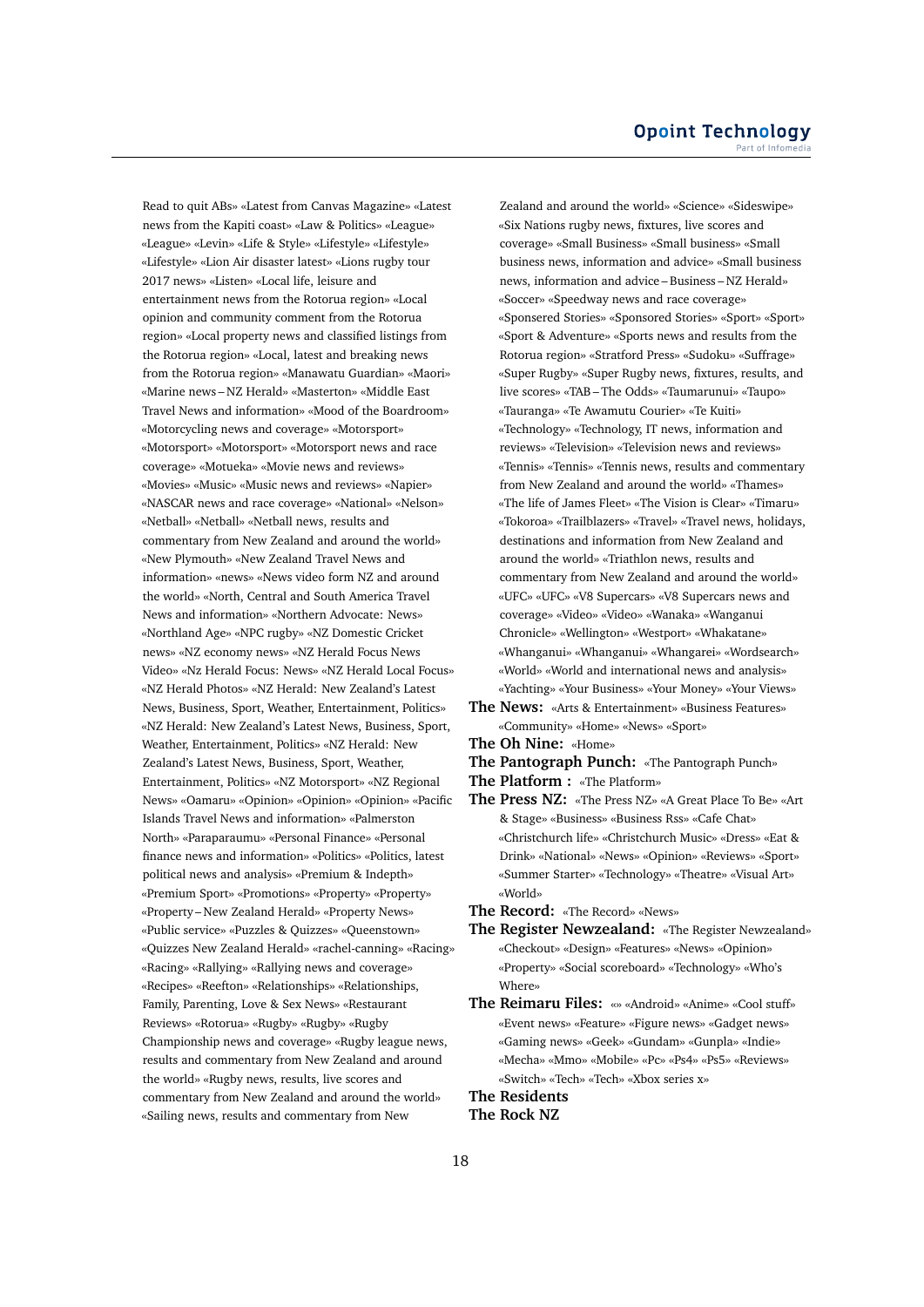Read to quit ABs» «Latest from Canvas Magazine» «Latest news from the Kapiti coast» «Law & Politics» «League» «League» «Levin» «Life & Style» «Lifestyle» «Lifestyle» «Lifestyle» «Lion Air disaster latest» «Lions rugby tour 2017 news» «Listen» «Local life, leisure and entertainment news from the Rotorua region» «Local opinion and community comment from the Rotorua region» «Local property news and classified listings from the Rotorua region» «Local, latest and breaking news from the Rotorua region» «Manawatu Guardian» «Maori» «Marine news – NZ Herald» «Masterton» «Middle East Travel News and information» «Mood of the Boardroom» «Motorcycling news and coverage» «Motorsport» «Motorsport» «Motorsport» «Motorsport news and race coverage» «Motueka» «Movie news and reviews» «Movies» «Music» «Music news and reviews» «Napier» «NASCAR news and race coverage» «National» «Nelson» «Netball» «Netball» «Netball news, results and commentary from New Zealand and around the world» «New Plymouth» «New Zealand Travel News and information» «news» «News video form NZ and around the world» «North, Central and South America Travel News and information» «Northern Advocate: News» «Northland Age» «NPC rugby» «NZ Domestic Cricket news» «NZ economy news» «NZ Herald Focus News Video» «Nz Herald Focus: News» «NZ Herald Local Focus» «NZ Herald Photos» «NZ Herald: New Zealand's Latest News, Business, Sport, Weather, Entertainment, Politics» «NZ Herald: New Zealand's Latest News, Business, Sport, Weather, Entertainment, Politics» «NZ Herald: New Zealand's Latest News, Business, Sport, Weather, Entertainment, Politics» «NZ Motorsport» «NZ Regional News» «Oamaru» «Opinion» «Opinion» «Opinion» «Pacific Islands Travel News and information» «Palmerston North» «Paraparaumu» «Personal Finance» «Personal finance news and information» «Politics» «Politics, latest political news and analysis» «Premium & Indepth» «Premium Sport» «Promotions» «Property» «Property» «Property – New Zealand Herald» «Property News» «Public service» «Puzzles & Quizzes» «Queenstown» «Quizzes New Zealand Herald» «rachel-canning» «Racing» «Racing» «Rallying» «Rallying news and coverage» «Recipes» «Reefton» «Relationships» «Relationships, Family, Parenting, Love & Sex News» «Restaurant Reviews» «Rotorua» «Rugby» «Rugby» «Rugby Championship news and coverage» «Rugby league news, results and commentary from New Zealand and around the world» «Rugby news, results, live scores and commentary from New Zealand and around the world» «Sailing news, results and commentary from New

Zealand and around the world» «Science» «Sideswipe» «Six Nations rugby news, fixtures, live scores and coverage» «Small Business» «Small business» «Small business news, information and advice» «Small business news, information and advice – Business – NZ Herald» «Soccer» «Speedway news and race coverage» «Sponsered Stories» «Sponsored Stories» «Sport» «Sport» «Sport & Adventure» «Sports news and results from the Rotorua region» «Stratford Press» «Sudoku» «Suffrage» «Super Rugby» «Super Rugby news, fixtures, results, and live scores» «TAB – The Odds» «Taumarunui» «Taupo» «Tauranga» «Te Awamutu Courier» «Te Kuiti» «Technology» «Technology, IT news, information and reviews» «Television» «Television news and reviews» «Tennis» «Tennis» «Tennis news, results and commentary from New Zealand and around the world» «Thames» «The life of James Fleet» «The Vision is Clear» «Timaru» «Tokoroa» «Trailblazers» «Travel» «Travel news, holidays, destinations and information from New Zealand and around the world» «Triathlon news, results and commentary from New Zealand and around the world» «UFC» «UFC» «V8 Supercars» «V8 Supercars news and coverage» «Video» «Video» «Wanaka» «Wanganui Chronicle» «Wellington» «Westport» «Whakatane» «Whanganui» «Whanganui» «Whangarei» «Wordsearch» «World» «World and international news and analysis» «Yachting» «Your Business» «Your Money» «Your Views»

- **The News:** «Arts & Entertainment» «Business Features» «Community» «Home» «News» «Sport»
- **The Oh Nine:** «Home»

**The Pantograph Punch:** «The Pantograph Punch»

**The Platform :** «The Platform»

**The Press NZ:** «The Press NZ» «A Great Place To Be» «Art & Stage» «Business» «Business Rss» «Cafe Chat» «Christchurch life» «Christchurch Music» «Dress» «Eat & Drink» «National» «News» «Opinion» «Reviews» «Sport» «Summer Starter» «Technology» «Theatre» «Visual Art» «World»

**The Record:** «The Record» «News»

- **The Register Newzealand:** «The Register Newzealand» «Checkout» «Design» «Features» «News» «Opinion» «Property» «Social scoreboard» «Technology» «Who's Where»
- **The Reimaru Files:** «» «Android» «Anime» «Cool stuff» «Event news» «Feature» «Figure news» «Gadget news» «Gaming news» «Geek» «Gundam» «Gunpla» «Indie» «Mecha» «Mmo» «Mobile» «Pc» «Ps4» «Ps5» «Reviews» «Switch» «Tech» «Tech» «Xbox series x»

**The Residents**

**The Rock NZ**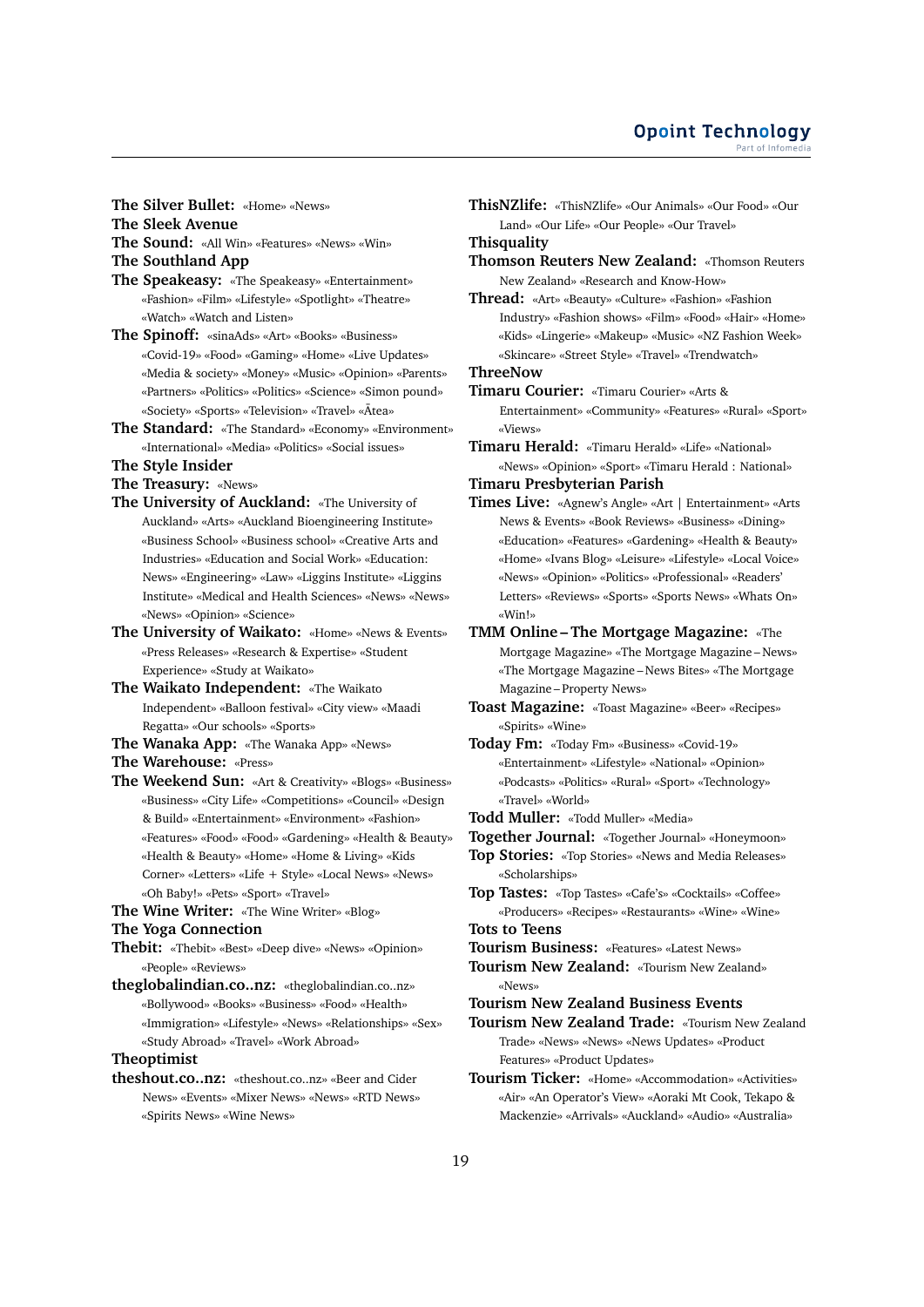**The Silver Bullet:** «Home» «News»

- **The Sleek Avenue**
- **The Sound:** «All Win» «Features» «News» «Win»
- **The Southland App**
- **The Speakeasy:** «The Speakeasy» «Entertainment» «Fashion» «Film» «Lifestyle» «Spotlight» «Theatre» «Watch» «Watch and Listen»
- **The Spinoff:** «sinaAds» «Art» «Books» «Business» «Covid-19» «Food» «Gaming» «Home» «Live Updates» «Media & society» «Money» «Music» «Opinion» «Parents» «Partners» «Politics» «Politics» «Science» «Simon pound» «Society» «Sports» «Television» «Travel» «Ātea»
- **The Standard:** «The Standard» «Economy» «Environment» «International» «Media» «Politics» «Social issues»
- **The Style Insider**
- **The Treasury:** «News»
- **The University of Auckland:** «The University of Auckland» «Arts» «Auckland Bioengineering Institute» «Business School» «Business school» «Creative Arts and Industries» «Education and Social Work» «Education: News» «Engineering» «Law» «Liggins Institute» «Liggins Institute» «Medical and Health Sciences» «News» «News» «News» «Opinion» «Science»
- **The University of Waikato:** «Home» «News & Events» «Press Releases» «Research & Expertise» «Student Experience» «Study at Waikato»
- **The Waikato Independent:** «The Waikato Independent» «Balloon festival» «City view» «Maadi Regatta» «Our schools» «Sports»
- **The Wanaka App:** «The Wanaka App» «News»
- **The Warehouse:** «Press»
- **The Weekend Sun:** «Art & Creativity» «Blogs» «Business» «Business» «City Life» «Competitions» «Council» «Design & Build» «Entertainment» «Environment» «Fashion» «Features» «Food» «Food» «Gardening» «Health & Beauty» «Health & Beauty» «Home» «Home & Living» «Kids Corner» «Letters» «Life + Style» «Local News» «News» «Oh Baby!» «Pets» «Sport» «Travel»
- **The Wine Writer:** «The Wine Writer» «Blog»
- **The Yoga Connection**
- **Thebit:** «Thebit» «Best» «Deep dive» «News» «Opinion» «People» «Reviews»
- **theglobalindian.co..nz:** «theglobalindian.co..nz» «Bollywood» «Books» «Business» «Food» «Health» «Immigration» «Lifestyle» «News» «Relationships» «Sex» «Study Abroad» «Travel» «Work Abroad»

# **Theoptimist**

**theshout.co..nz:** «theshout.co..nz» «Beer and Cider News» «Events» «Mixer News» «News» «RTD News» «Spirits News» «Wine News»

**ThisNZlife:** «ThisNZlife» «Our Animals» «Our Food» «Our Land» «Our Life» «Our People» «Our Travel»

**Thisquality**

- **Thomson Reuters New Zealand:** «Thomson Reuters New Zealand» «Research and Know-How»
- **Thread:** «Art» «Beauty» «Culture» «Fashion» «Fashion Industry» «Fashion shows» «Film» «Food» «Hair» «Home» «Kids» «Lingerie» «Makeup» «Music» «NZ Fashion Week» «Skincare» «Street Style» «Travel» «Trendwatch»

**ThreeNow**

- **Timaru Courier:** «Timaru Courier» «Arts & Entertainment» «Community» «Features» «Rural» «Sport» «Views»
- **Timaru Herald:** «Timaru Herald» «Life» «National» «News» «Opinion» «Sport» «Timaru Herald : National»

# **Timaru Presbyterian Parish**

- **Times Live:** «Agnew's Angle» «Art | Entertainment» «Arts News & Events» «Book Reviews» «Business» «Dining» «Education» «Features» «Gardening» «Health & Beauty» «Home» «Ivans Blog» «Leisure» «Lifestyle» «Local Voice» «News» «Opinion» «Politics» «Professional» «Readers' Letters» «Reviews» «Sports» «Sports News» «Whats On» «Win!»
- **TMM Online The Mortgage Magazine:** «The Mortgage Magazine» «The Mortgage Magazine – News» «The Mortgage Magazine – News Bites» «The Mortgage Magazine – Property News»
- **Toast Magazine:** «Toast Magazine» «Beer» «Recipes» «Spirits» «Wine»
- **Today Fm:** «Today Fm» «Business» «Covid-19» «Entertainment» «Lifestyle» «National» «Opinion» «Podcasts» «Politics» «Rural» «Sport» «Technology» «Travel» «World»
- **Todd Muller:** «Todd Muller» «Media»
- **Together Journal:** «Together Journal» «Honeymoon»
- **Top Stories:** «Top Stories» «News and Media Releases» «Scholarships»
- **Top Tastes:** «Top Tastes» «Cafe's» «Cocktails» «Coffee» «Producers» «Recipes» «Restaurants» «Wine» «Wine» **Tots to Teens**

- **Tourism Business:** «Features» «Latest News»
- **Tourism New Zealand:** «Tourism New Zealand» «News»
- **Tourism New Zealand Business Events**
- **Tourism New Zealand Trade:** «Tourism New Zealand Trade» «News» «News» «News Updates» «Product Features» «Product Updates»
- **Tourism Ticker:** «Home» «Accommodation» «Activities» «Air» «An Operator's View» «Aoraki Mt Cook, Tekapo & Mackenzie» «Arrivals» «Auckland» «Audio» «Australia»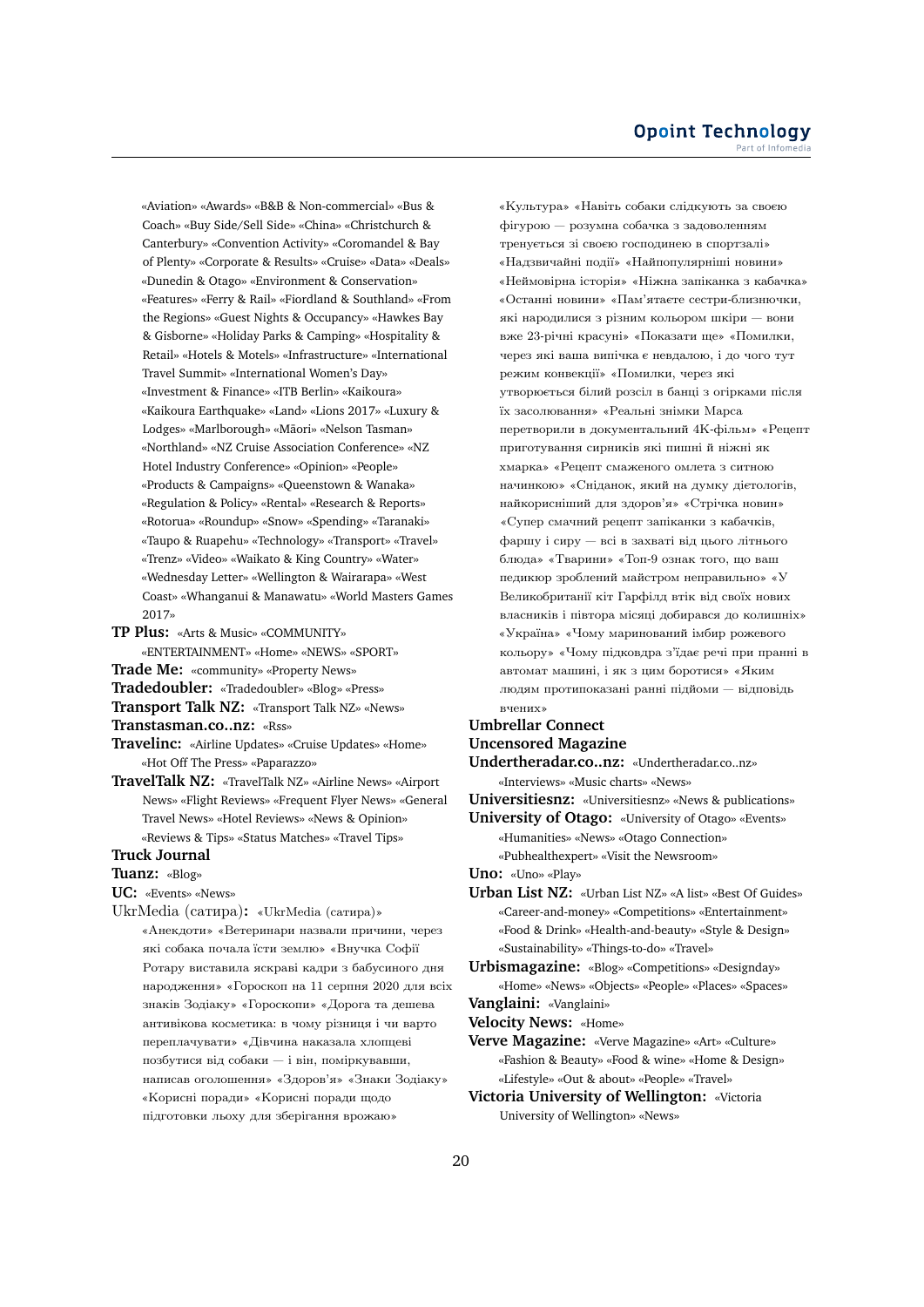«Aviation» «Awards» «B&B & Non-commercial» «Bus & Coach» «Buy Side/Sell Side» «China» «Christchurch & Canterbury» «Convention Activity» «Coromandel & Bay of Plenty» «Corporate & Results» «Cruise» «Data» «Deals» «Dunedin & Otago» «Environment & Conservation» «Features» «Ferry & Rail» «Fiordland & Southland» «From the Regions» «Guest Nights & Occupancy» «Hawkes Bay & Gisborne» «Holiday Parks & Camping» «Hospitality & Retail» «Hotels & Motels» «Infrastructure» «International Travel Summit» «International Women's Day» «Investment & Finance» «ITB Berlin» «Kaikoura» «Kaikoura Earthquake» «Land» «Lions 2017» «Luxury & Lodges» «Marlborough» «Māori» «Nelson Tasman» «Northland» «NZ Cruise Association Conference» «NZ Hotel Industry Conference» «Opinion» «People» «Products & Campaigns» «Queenstown & Wanaka» «Regulation & Policy» «Rental» «Research & Reports» «Rotorua» «Roundup» «Snow» «Spending» «Taranaki» «Taupo & Ruapehu» «Technology» «Transport» «Travel» «Trenz» «Video» «Waikato & King Country» «Water» «Wednesday Letter» «Wellington & Wairarapa» «West Coast» «Whanganui & Manawatu» «World Masters Games 2017»

- **TP Plus:** «Arts & Music» «COMMUNITY» «ENTERTAINMENT» «Home» «NEWS» «SPORT»
- **Trade Me:** «community» «Property News»
- **Tradedoubler:** «Tradedoubler» «Blog» «Press»

**Transport Talk NZ:** «Transport Talk NZ» «News»

**Transtasman.co..nz:** «Rss»

- **Travelinc:** «Airline Updates» «Cruise Updates» «Home» «Hot Off The Press» «Paparazzo»
- **TravelTalk NZ:** «TravelTalk NZ» «Airline News» «Airport News» «Flight Reviews» «Frequent Flyer News» «General Travel News» «Hotel Reviews» «News & Opinion» «Reviews & Tips» «Status Matches» «Travel Tips»

### **Truck Journal**

**Tuanz:** «Blog»

**UC:** «Events» «News»

UkrMedia (cатира)**:** «UkrMedia (cатира)» «Анекдоти» «Ветеринари назвали причини, через якi собака почала їсти землю» «Внучка Софiї Ротару виставила яскравi кадри з бабусиного дня народження» «Гороскоп на 11 серпня 2020 для всiх знакiв Зодiаку» «Гороскопи» «Дорога та дешева антивiкова косметика: в чому рiзниця i чи варто переплачувати» «Дiвчина наказала хлопцевi позбутися вiд собаки — i вiн, помiркувавши, написав оголошення» «Здоров'я» «Знаки Зодiаку» «Кориснi поради» «Кориснi поради щодо пiдготовки льоху для зберiгання врожаю»

«Культура» «Навiть собаки слiдкують за своєю фiгурою — розумна собачка з задоволенням тренується зi своєю господинею в спортзалi» «Надзвичайнi подiї» «Найпопулярнiшi новини» «Неймовiрна iсторiя» «Нiжна запiканка з кабачка» «Останнi новини» «Пам'ятаєте сестри-близнючки, якi народилися з рiзним кольором шкiри — вони вже 23-рiчнi красунi» «Показати ще» «Помилки, через якi ваша випiчка є невдалою, i до чого тут режим конвекцiї» «Помилки, через якi утворюється бiлий розсiл в банцi з огiрками пiсля їх засолювання» «Реальнi знiмки Марса перетворили в документальний 4K-фiльм» «Рецепт приготування сирникiв якi пишнi й нiжнi як хмарка» «Рецепт смаженого омлета з ситною начинкою» «Снiданок, який на думку дiєтологiв, найкориснiший для здоров'я» «Стрiчка новин» «Супер смачний рецепт запiканки з кабачкiв, фаршу i сиру — всi в захватi вiд цього лiтнього блюда» «Тварини» «Топ-9 ознак того, що ваш педикюр зроблений майстром неправильно» «У Великобританiї кiт Гарфiлд втiк вiд своїх нових власникiв i пiвтора мiсяцi добирався до колишнiх» «Україна» «Чому маринований iмбир рожевого кольору» «Чому пiдковдра з'їдає речi при праннi в автомат машинi, i як з цим боротися» «Яким людям протипоказанi раннi пiдйоми — вiдповiдь вчених»

# **Umbrellar Connect**

**Uncensored Magazine**

**Undertheradar.co..nz:** «Undertheradar.co..nz» «Interviews» «Music charts» «News»

**Universitiesnz:** «Universitiesnz» «News & publications»

**University of Otago:** «University of Otago» «Events» «Humanities» «News» «Otago Connection» «Pubhealthexpert» «Visit the Newsroom»

**Uno:** «Uno» «Play»

**Urban List NZ:** «Urban List NZ» «A list» «Best Of Guides» «Career-and-money» «Competitions» «Entertainment» «Food & Drink» «Health-and-beauty» «Style & Design» «Sustainability» «Things-to-do» «Travel»

**Urbismagazine:** «Blog» «Competitions» «Designday» «Home» «News» «Objects» «People» «Places» «Spaces»

**Vanglaini:** «Vanglaini»

**Velocity News:** «Home»

- **Verve Magazine:** «Verve Magazine» «Art» «Culture» «Fashion & Beauty» «Food & wine» «Home & Design» «Lifestyle» «Out & about» «People» «Travel»
- **Victoria University of Wellington:** «Victoria University of Wellington» «News»